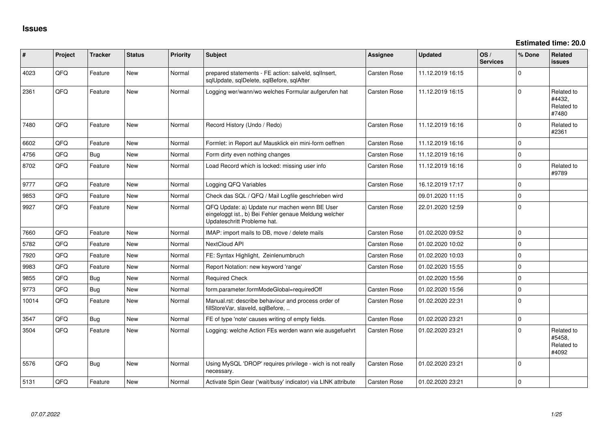**Estimated time: 20.0**

| #     | Project | <b>Tracker</b> | <b>Status</b> | <b>Priority</b> | Subject                                                                                                                               | Assignee            | <b>Updated</b>   | OS/<br><b>Services</b> | % Done      | Related<br>issues                           |
|-------|---------|----------------|---------------|-----------------|---------------------------------------------------------------------------------------------------------------------------------------|---------------------|------------------|------------------------|-------------|---------------------------------------------|
| 4023  | QFQ     | Feature        | New           | Normal          | prepared statements - FE action: salveld, sqllnsert,<br>sqlUpdate, sqlDelete, sqlBefore, sqlAfter                                     | Carsten Rose        | 11.12.2019 16:15 |                        | $\Omega$    |                                             |
| 2361  | QFQ     | Feature        | <b>New</b>    | Normal          | Logging wer/wann/wo welches Formular aufgerufen hat                                                                                   | Carsten Rose        | 11.12.2019 16:15 |                        | $\Omega$    | Related to<br>#4432,<br>Related to<br>#7480 |
| 7480  | QFQ     | Feature        | <b>New</b>    | Normal          | Record History (Undo / Redo)                                                                                                          | <b>Carsten Rose</b> | 11.12.2019 16:16 |                        | $\mathbf 0$ | Related to<br>#2361                         |
| 6602  | OFQ     | Feature        | New           | Normal          | Formlet: in Report auf Mausklick ein mini-form oeffnen                                                                                | <b>Carsten Rose</b> | 11.12.2019 16:16 |                        | $\Omega$    |                                             |
| 4756  | QFQ     | Bug            | New           | Normal          | Form dirty even nothing changes                                                                                                       | Carsten Rose        | 11.12.2019 16:16 |                        | $\Omega$    |                                             |
| 8702  | QFQ     | Feature        | New           | Normal          | Load Record which is locked: missing user info                                                                                        | Carsten Rose        | 11.12.2019 16:16 |                        | $\Omega$    | Related to<br>#9789                         |
| 9777  | QFQ     | Feature        | <b>New</b>    | Normal          | Logging QFQ Variables                                                                                                                 | Carsten Rose        | 16.12.2019 17:17 |                        | $\mathbf 0$ |                                             |
| 9853  | QFQ     | Feature        | <b>New</b>    | Normal          | Check das SQL / QFQ / Mail Logfile geschrieben wird                                                                                   |                     | 09.01.2020 11:15 |                        | $\mathbf 0$ |                                             |
| 9927  | QFQ     | Feature        | <b>New</b>    | Normal          | QFQ Update: a) Update nur machen wenn BE User<br>eingeloggt ist., b) Bei Fehler genaue Meldung welcher<br>Updateschritt Probleme hat. | Carsten Rose        | 22.01.2020 12:59 |                        | $\Omega$    |                                             |
| 7660  | QFQ     | Feature        | <b>New</b>    | Normal          | IMAP: import mails to DB, move / delete mails                                                                                         | Carsten Rose        | 01.02.2020 09:52 |                        | $\Omega$    |                                             |
| 5782  | QFQ     | Feature        | <b>New</b>    | Normal          | NextCloud API                                                                                                                         | Carsten Rose        | 01.02.2020 10:02 |                        | $\Omega$    |                                             |
| 7920  | QFQ     | Feature        | <b>New</b>    | Normal          | FE: Syntax Highlight, Zeinlenumbruch                                                                                                  | Carsten Rose        | 01.02.2020 10:03 |                        | $\Omega$    |                                             |
| 9983  | QFQ     | Feature        | <b>New</b>    | Normal          | Report Notation: new keyword 'range'                                                                                                  | Carsten Rose        | 01.02.2020 15:55 |                        | $\mathbf 0$ |                                             |
| 9855  | QFQ     | Bug            | <b>New</b>    | Normal          | <b>Required Check</b>                                                                                                                 |                     | 01.02.2020 15:56 |                        | $\mathbf 0$ |                                             |
| 9773  | QFQ     | Bug            | New           | Normal          | form.parameter.formModeGlobal=requiredOff                                                                                             | Carsten Rose        | 01.02.2020 15:56 |                        | $\Omega$    |                                             |
| 10014 | QFQ     | Feature        | <b>New</b>    | Normal          | Manual.rst: describe behaviour and process order of<br>fillStoreVar, slaveld, sqlBefore,                                              | Carsten Rose        | 01.02.2020 22:31 |                        | $\Omega$    |                                             |
| 3547  | QFQ     | Bug            | <b>New</b>    | Normal          | FE of type 'note' causes writing of empty fields.                                                                                     | Carsten Rose        | 01.02.2020 23:21 |                        | $\mathbf 0$ |                                             |
| 3504  | QFQ     | Feature        | <b>New</b>    | Normal          | Logging: welche Action FEs werden wann wie ausgefuehrt                                                                                | Carsten Rose        | 01.02.2020 23:21 |                        | $\Omega$    | Related to<br>#5458,<br>Related to<br>#4092 |
| 5576  | QFQ     | <b>Bug</b>     | New           | Normal          | Using MySQL 'DROP' requires privilege - wich is not really<br>necessary.                                                              | Carsten Rose        | 01.02.2020 23:21 |                        | $\Omega$    |                                             |
| 5131  | QFQ     | Feature        | <b>New</b>    | Normal          | Activate Spin Gear ('wait/busy' indicator) via LINK attribute                                                                         | Carsten Rose        | 01.02.2020 23:21 |                        | $\mathbf 0$ |                                             |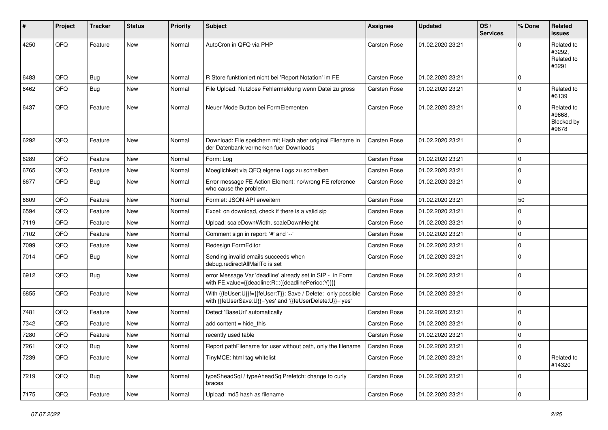| $\vert$ # | Project | <b>Tracker</b> | <b>Status</b> | <b>Priority</b> | <b>Subject</b>                                                                                                             | <b>Assignee</b>     | <b>Updated</b>   | OS/<br><b>Services</b> | % Done      | Related<br><b>issues</b>                    |
|-----------|---------|----------------|---------------|-----------------|----------------------------------------------------------------------------------------------------------------------------|---------------------|------------------|------------------------|-------------|---------------------------------------------|
| 4250      | QFQ     | Feature        | New           | Normal          | AutoCron in QFQ via PHP                                                                                                    | <b>Carsten Rose</b> | 01.02.2020 23:21 |                        | $\Omega$    | Related to<br>#3292.<br>Related to<br>#3291 |
| 6483      | QFQ     | <b>Bug</b>     | <b>New</b>    | Normal          | R Store funktioniert nicht bei 'Report Notation' im FE                                                                     | <b>Carsten Rose</b> | 01.02.2020 23:21 |                        | $\mathbf 0$ |                                             |
| 6462      | QFQ     | Bug            | New           | Normal          | File Upload: Nutzlose Fehlermeldung wenn Datei zu gross                                                                    | Carsten Rose        | 01.02.2020 23:21 |                        | $\mathbf 0$ | Related to<br>#6139                         |
| 6437      | QFQ     | Feature        | <b>New</b>    | Normal          | Neuer Mode Button bei FormElementen                                                                                        | <b>Carsten Rose</b> | 01.02.2020 23:21 |                        | $\Omega$    | Related to<br>#9668.<br>Blocked by<br>#9678 |
| 6292      | QFQ     | Feature        | <b>New</b>    | Normal          | Download: File speichern mit Hash aber original Filename in<br>der Datenbank vermerken fuer Downloads                      | <b>Carsten Rose</b> | 01.02.2020 23:21 |                        | $\mathbf 0$ |                                             |
| 6289      | QFQ     | Feature        | New           | Normal          | Form: Log                                                                                                                  | <b>Carsten Rose</b> | 01.02.2020 23:21 |                        | $\mathbf 0$ |                                             |
| 6765      | QFQ     | Feature        | <b>New</b>    | Normal          | Moeglichkeit via QFQ eigene Logs zu schreiben                                                                              | <b>Carsten Rose</b> | 01.02.2020 23:21 |                        | 0           |                                             |
| 6677      | QFQ     | Bug            | New           | Normal          | Error message FE Action Element: no/wrong FE reference<br>who cause the problem.                                           | <b>Carsten Rose</b> | 01.02.2020 23:21 |                        | $\mathbf 0$ |                                             |
| 6609      | QFQ     | Feature        | <b>New</b>    | Normal          | Formlet: JSON API erweitern                                                                                                | <b>Carsten Rose</b> | 01.02.2020 23:21 |                        | 50          |                                             |
| 6594      | QFQ     | Feature        | New           | Normal          | Excel: on download, check if there is a valid sip                                                                          | <b>Carsten Rose</b> | 01.02.2020 23:21 |                        | $\Omega$    |                                             |
| 7119      | QFQ     | Feature        | <b>New</b>    | Normal          | Upload: scaleDownWidth, scaleDownHeight                                                                                    | <b>Carsten Rose</b> | 01.02.2020 23:21 |                        | $\mathbf 0$ |                                             |
| 7102      | QFQ     | Feature        | New           | Normal          | Comment sign in report: '#' and '--'                                                                                       | Carsten Rose        | 01.02.2020 23:21 |                        | $\mathbf 0$ |                                             |
| 7099      | QFQ     | Feature        | New           | Normal          | Redesign FormEditor                                                                                                        | <b>Carsten Rose</b> | 01.02.2020 23:21 |                        | $\mathbf 0$ |                                             |
| 7014      | QFQ     | Bug            | <b>New</b>    | Normal          | Sending invalid emails succeeds when<br>debug.redirectAllMailTo is set                                                     | Carsten Rose        | 01.02.2020 23:21 |                        | $\mathbf 0$ |                                             |
| 6912      | QFQ     | Bug            | <b>New</b>    | Normal          | error Message Var 'deadline' already set in SIP - in Form<br>with FE.value={{deadline:R:::{{deadlinePeriod:Y}}}}           | Carsten Rose        | 01.02.2020 23:21 |                        | $\mathbf 0$ |                                             |
| 6855      | QFQ     | Feature        | New           | Normal          | With {{feUser:U}}!={{feUser:T}}: Save / Delete: only possible<br>with {{feUserSave:U}}='yes' and '{{feUserDelete:U}}='yes' | Carsten Rose        | 01.02.2020 23:21 |                        | $\mathbf 0$ |                                             |
| 7481      | QFQ     | Feature        | <b>New</b>    | Normal          | Detect 'BaseUrl' automatically                                                                                             | <b>Carsten Rose</b> | 01.02.2020 23:21 |                        | 0           |                                             |
| 7342      | QFQ     | Feature        | New           | Normal          | add content = hide_this                                                                                                    | <b>Carsten Rose</b> | 01.02.2020 23:21 |                        | $\Omega$    |                                             |
| 7280      | QFQ     | Feature        | New           | Normal          | recently used table                                                                                                        | Carsten Rose        | 01.02.2020 23:21 |                        | $\mathbf 0$ |                                             |
| 7261      | QFQ     | Bug            | New           | Normal          | Report path Filename for user without path, only the filename                                                              | <b>Carsten Rose</b> | 01.02.2020 23:21 |                        | 0           |                                             |
| 7239      | QFQ     | Feature        | New           | Normal          | TinyMCE: html tag whitelist                                                                                                | Carsten Rose        | 01.02.2020 23:21 |                        | $\mathbf 0$ | Related to<br>#14320                        |
| 7219      | QFQ     | <b>Bug</b>     | New           | Normal          | typeSheadSql / typeAheadSqlPrefetch: change to curly<br>braces                                                             | Carsten Rose        | 01.02.2020 23:21 |                        | 0           |                                             |
| 7175      | QFQ     | Feature        | New           | Normal          | Upload: md5 hash as filename                                                                                               | Carsten Rose        | 01.02.2020 23:21 |                        | $\mathbf 0$ |                                             |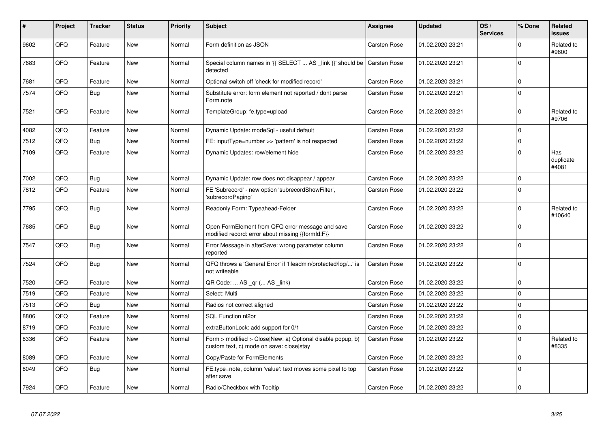| #    | Project | <b>Tracker</b> | <b>Status</b> | <b>Priority</b> | <b>Subject</b>                                                                                         | <b>Assignee</b>     | <b>Updated</b>   | OS/<br><b>Services</b> | % Done       | Related<br><b>issues</b>  |
|------|---------|----------------|---------------|-----------------|--------------------------------------------------------------------------------------------------------|---------------------|------------------|------------------------|--------------|---------------------------|
| 9602 | QFQ     | Feature        | <b>New</b>    | Normal          | Form definition as JSON                                                                                | Carsten Rose        | 01.02.2020 23:21 |                        | $\Omega$     | Related to<br>#9600       |
| 7683 | QFQ     | Feature        | New           | Normal          | Special column names in '{{ SELECT  AS _link }}' should be Carsten Rose<br>detected                    |                     | 01.02.2020 23:21 |                        | $\Omega$     |                           |
| 7681 | QFQ     | Feature        | <b>New</b>    | Normal          | Optional switch off 'check for modified record'                                                        | Carsten Rose        | 01.02.2020 23:21 |                        | $\mathbf{0}$ |                           |
| 7574 | QFQ     | <b>Bug</b>     | <b>New</b>    | Normal          | Substitute error: form element not reported / dont parse<br>Form.note                                  | Carsten Rose        | 01.02.2020 23:21 |                        | $\Omega$     |                           |
| 7521 | QFQ     | Feature        | <b>New</b>    | Normal          | TemplateGroup: fe.type=upload                                                                          | Carsten Rose        | 01.02.2020 23:21 |                        | $\mathbf{0}$ | Related to<br>#9706       |
| 4082 | QFQ     | Feature        | New           | Normal          | Dynamic Update: modeSql - useful default                                                               | Carsten Rose        | 01.02.2020 23:22 |                        | $\Omega$     |                           |
| 7512 | QFQ     | Bug            | <b>New</b>    | Normal          | FE: inputType=number >> 'pattern' is not respected                                                     | Carsten Rose        | 01.02.2020 23:22 |                        | $\Omega$     |                           |
| 7109 | QFQ     | Feature        | <b>New</b>    | Normal          | Dynamic Updates: row/element hide                                                                      | Carsten Rose        | 01.02.2020 23:22 |                        | $\Omega$     | Has<br>duplicate<br>#4081 |
| 7002 | QFQ     | Bug            | <b>New</b>    | Normal          | Dynamic Update: row does not disappear / appear                                                        | Carsten Rose        | 01.02.2020 23:22 |                        | $\mathbf{0}$ |                           |
| 7812 | QFQ     | Feature        | <b>New</b>    | Normal          | FE 'Subrecord' - new option 'subrecordShowFilter',<br>'subrecordPaging'                                | Carsten Rose        | 01.02.2020 23:22 |                        | $\Omega$     |                           |
| 7795 | QFQ     | <b>Bug</b>     | New           | Normal          | Readonly Form: Typeahead-Felder                                                                        | Carsten Rose        | 01.02.2020 23:22 |                        | $\mathbf{0}$ | Related to<br>#10640      |
| 7685 | QFQ     | Bug            | New           | Normal          | Open FormElement from QFQ error message and save<br>modified record: error about missing {{formId:F}}  | Carsten Rose        | 01.02.2020 23:22 |                        | $\Omega$     |                           |
| 7547 | QFQ     | <b>Bug</b>     | <b>New</b>    | Normal          | Error Message in afterSave: wrong parameter column<br>reported                                         | Carsten Rose        | 01.02.2020 23:22 |                        | $\Omega$     |                           |
| 7524 | QFQ     | <b>Bug</b>     | <b>New</b>    | Normal          | QFQ throws a 'General Error' if 'fileadmin/protected/log/' is<br>not writeable                         | Carsten Rose        | 01.02.2020 23:22 |                        | $\Omega$     |                           |
| 7520 | QFQ     | Feature        | <b>New</b>    | Normal          | QR Code:  AS _qr ( AS _link)                                                                           | Carsten Rose        | 01.02.2020 23:22 |                        | $\Omega$     |                           |
| 7519 | QFQ     | Feature        | New           | Normal          | Select: Multi                                                                                          | Carsten Rose        | 01.02.2020 23:22 |                        | $\Omega$     |                           |
| 7513 | QFQ     | Bug            | New           | Normal          | Radios not correct aligned                                                                             | Carsten Rose        | 01.02.2020 23:22 |                        | $\Omega$     |                           |
| 8806 | QFQ     | Feature        | <b>New</b>    | Normal          | SQL Function nl2br                                                                                     | Carsten Rose        | 01.02.2020 23:22 |                        | $\mathbf 0$  |                           |
| 8719 | QFQ     | Feature        | New           | Normal          | extraButtonLock: add support for 0/1                                                                   | <b>Carsten Rose</b> | 01.02.2020 23:22 |                        | $\Omega$     |                           |
| 8336 | QFQ     | Feature        | New           | Normal          | Form > modified > Close New: a) Optional disable popup, b)<br>custom text, c) mode on save: close stay | Carsten Rose        | 01.02.2020 23:22 |                        | $\Omega$     | Related to<br>#8335       |
| 8089 | QFQ     | Feature        | New           | Normal          | Copy/Paste for FormElements                                                                            | <b>Carsten Rose</b> | 01.02.2020 23:22 |                        | $\Omega$     |                           |
| 8049 | QFQ     | Bug            | New           | Normal          | FE.type=note, column 'value': text moves some pixel to top<br>after save                               | Carsten Rose        | 01.02.2020 23:22 |                        | $\mathbf 0$  |                           |
| 7924 | QFQ     | Feature        | New           | Normal          | Radio/Checkbox with Tooltip                                                                            | Carsten Rose        | 01.02.2020 23:22 |                        | $\mathbf 0$  |                           |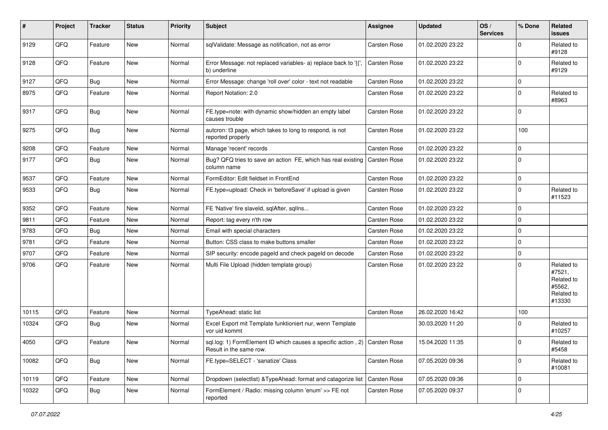| $\sharp$ | Project | <b>Tracker</b> | <b>Status</b> | <b>Priority</b> | <b>Subject</b>                                                                                        | Assignee            | <b>Updated</b>   | OS/<br><b>Services</b> | % Done      | Related<br><b>issues</b>                                             |
|----------|---------|----------------|---------------|-----------------|-------------------------------------------------------------------------------------------------------|---------------------|------------------|------------------------|-------------|----------------------------------------------------------------------|
| 9129     | QFQ     | Feature        | New           | Normal          | sqlValidate: Message as notification, not as error                                                    | Carsten Rose        | 01.02.2020 23:22 |                        | $\Omega$    | Related to<br>#9128                                                  |
| 9128     | QFQ     | Feature        | New           | Normal          | Error Message: not replaced variables- a) replace back to '{',<br>b) underline                        | Carsten Rose        | 01.02.2020 23:22 |                        | $\mathbf 0$ | Related to<br>#9129                                                  |
| 9127     | QFQ     | Bug            | New           | Normal          | Error Message: change 'roll over' color - text not readable                                           | Carsten Rose        | 01.02.2020 23:22 |                        | 0           |                                                                      |
| 8975     | QFQ     | Feature        | New           | Normal          | Report Notation: 2.0                                                                                  | Carsten Rose        | 01.02.2020 23:22 |                        | $\Omega$    | Related to<br>#8963                                                  |
| 9317     | QFQ     | Bug            | New           | Normal          | FE.type=note: with dynamic show/hidden an empty label<br>causes trouble                               | Carsten Rose        | 01.02.2020 23:22 |                        | $\Omega$    |                                                                      |
| 9275     | QFQ     | Bug            | New           | Normal          | autcron: t3 page, which takes to long to respond, is not<br>reported properly                         | Carsten Rose        | 01.02.2020 23:22 |                        | 100         |                                                                      |
| 9208     | QFQ     | Feature        | New           | Normal          | Manage 'recent' records                                                                               | Carsten Rose        | 01.02.2020 23:22 |                        | $\mathbf 0$ |                                                                      |
| 9177     | QFQ     | Bug            | New           | Normal          | Bug? QFQ tries to save an action FE, which has real existing<br>column name                           | Carsten Rose        | 01.02.2020 23:22 |                        | $\Omega$    |                                                                      |
| 9537     | QFQ     | Feature        | New           | Normal          | FormEditor: Edit fieldset in FrontEnd                                                                 | <b>Carsten Rose</b> | 01.02.2020 23:22 |                        | $\pmb{0}$   |                                                                      |
| 9533     | QFQ     | Bug            | New           | Normal          | FE.type=upload: Check in 'beforeSave' if upload is given                                              | <b>Carsten Rose</b> | 01.02.2020 23:22 |                        | $\Omega$    | Related to<br>#11523                                                 |
| 9352     | QFQ     | Feature        | <b>New</b>    | Normal          | FE 'Native' fire slaveld, sqlAfter, sqlIns                                                            | Carsten Rose        | 01.02.2020 23:22 |                        | $\mathbf 0$ |                                                                      |
| 9811     | QFQ     | Feature        | New           | Normal          | Report: tag every n'th row                                                                            | Carsten Rose        | 01.02.2020 23:22 |                        | $\Omega$    |                                                                      |
| 9783     | QFQ     | Bug            | New           | Normal          | Email with special characters                                                                         | <b>Carsten Rose</b> | 01.02.2020 23:22 |                        | $\Omega$    |                                                                      |
| 9781     | QFQ     | Feature        | <b>New</b>    | Normal          | Button: CSS class to make buttons smaller                                                             | Carsten Rose        | 01.02.2020 23:22 |                        | $\Omega$    |                                                                      |
| 9707     | QFQ     | Feature        | New           | Normal          | SIP security: encode pageld and check pageld on decode                                                | Carsten Rose        | 01.02.2020 23:22 |                        | $\mathbf 0$ |                                                                      |
| 9706     | QFQ     | Feature        | New           | Normal          | Multi File Upload (hidden template group)                                                             | Carsten Rose        | 01.02.2020 23:22 |                        | $\Omega$    | Related to<br>#7521,<br>Related to<br>#5562,<br>Related to<br>#13330 |
| 10115    | QFQ     | Feature        | New           | Normal          | TypeAhead: static list                                                                                | Carsten Rose        | 26.02.2020 16:42 |                        | 100         |                                                                      |
| 10324    | QFQ     | <b>Bug</b>     | New           | Normal          | Excel Export mit Template funktioniert nur, wenn Template<br>vor uid kommt                            |                     | 30.03.2020 11:20 |                        | 0           | Related to<br>#10257                                                 |
| 4050     | QFQ     | Feature        | <b>New</b>    | Normal          | sql.log: 1) FormElement ID which causes a specific action, 2) Carsten Rose<br>Result in the same row. |                     | 15.04.2020 11:35 |                        | $\mathbf 0$ | Related to<br>#5458                                                  |
| 10082    | QFQ     | Bug            | New           | Normal          | FE.type=SELECT - 'sanatize' Class                                                                     | Carsten Rose        | 07.05.2020 09:36 |                        | $\Omega$    | Related to<br>#10081                                                 |
| 10119    | QFQ     | Feature        | New           | Normal          | Dropdown (selectlist) & TypeAhead: format and catagorize list                                         | Carsten Rose        | 07.05.2020 09:36 |                        | $\mathbf 0$ |                                                                      |
| 10322    | QFQ     | Bug            | New           | Normal          | FormElement / Radio: missing column 'enum' >> FE not<br>reported                                      | Carsten Rose        | 07.05.2020 09:37 |                        | $\mathbf 0$ |                                                                      |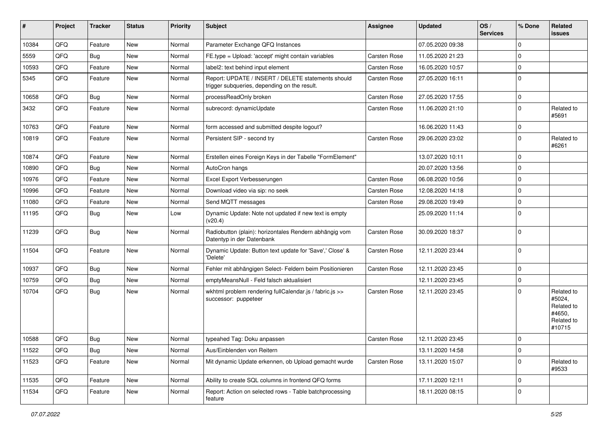| #     | Project | <b>Tracker</b> | <b>Status</b> | <b>Priority</b> | Subject                                                                                            | <b>Assignee</b>     | <b>Updated</b>   | OS/<br><b>Services</b> | % Done      | Related<br><b>issues</b>                                             |
|-------|---------|----------------|---------------|-----------------|----------------------------------------------------------------------------------------------------|---------------------|------------------|------------------------|-------------|----------------------------------------------------------------------|
| 10384 | QFQ     | Feature        | New           | Normal          | Parameter Exchange QFQ Instances                                                                   |                     | 07.05.2020 09:38 |                        | $\Omega$    |                                                                      |
| 5559  | QFQ     | <b>Bug</b>     | New           | Normal          | FE.type = Upload: 'accept' might contain variables                                                 | Carsten Rose        | 11.05.2020 21:23 |                        | $\Omega$    |                                                                      |
| 10593 | QFQ     | Feature        | New           | Normal          | label2: text behind input element                                                                  | Carsten Rose        | 16.05.2020 10:57 |                        | $\Omega$    |                                                                      |
| 5345  | QFQ     | Feature        | New           | Normal          | Report: UPDATE / INSERT / DELETE statements should<br>trigger subqueries, depending on the result. | Carsten Rose        | 27.05.2020 16:11 |                        | $\Omega$    |                                                                      |
| 10658 | QFQ     | <b>Bug</b>     | New           | Normal          | processReadOnly broken                                                                             | Carsten Rose        | 27.05.2020 17:55 |                        | $\Omega$    |                                                                      |
| 3432  | QFQ     | Feature        | <b>New</b>    | Normal          | subrecord: dynamicUpdate                                                                           | Carsten Rose        | 11.06.2020 21:10 |                        | $\Omega$    | Related to<br>#5691                                                  |
| 10763 | QFQ     | Feature        | <b>New</b>    | Normal          | form accessed and submitted despite logout?                                                        |                     | 16.06.2020 11:43 |                        | $\Omega$    |                                                                      |
| 10819 | QFQ     | Feature        | New           | Normal          | Persistent SIP - second try                                                                        | Carsten Rose        | 29.06.2020 23:02 |                        | $\Omega$    | Related to<br>#6261                                                  |
| 10874 | QFQ     | Feature        | New           | Normal          | Erstellen eines Foreign Keys in der Tabelle "FormElement"                                          |                     | 13.07.2020 10:11 |                        | $\mathbf 0$ |                                                                      |
| 10890 | QFQ     | Bug            | New           | Normal          | AutoCron hangs                                                                                     |                     | 20.07.2020 13:56 |                        | $\Omega$    |                                                                      |
| 10976 | QFQ     | Feature        | <b>New</b>    | Normal          | Excel Export Verbesserungen                                                                        | Carsten Rose        | 06.08.2020 10:56 |                        | $\Omega$    |                                                                      |
| 10996 | QFQ     | Feature        | New           | Normal          | Download video via sip: no seek                                                                    | Carsten Rose        | 12.08.2020 14:18 |                        | $\mathbf 0$ |                                                                      |
| 11080 | QFQ     | Feature        | New           | Normal          | Send MQTT messages                                                                                 | Carsten Rose        | 29.08.2020 19:49 |                        | $\Omega$    |                                                                      |
| 11195 | QFQ     | <b>Bug</b>     | New           | Low             | Dynamic Update: Note not updated if new text is empty<br>(v20.4)                                   |                     | 25.09.2020 11:14 |                        | $\Omega$    |                                                                      |
| 11239 | QFQ     | Bug            | New           | Normal          | Radiobutton (plain): horizontales Rendern abhängig vom<br>Datentyp in der Datenbank                | Carsten Rose        | 30.09.2020 18:37 |                        | $\Omega$    |                                                                      |
| 11504 | QFQ     | Feature        | New           | Normal          | Dynamic Update: Button text update for 'Save',' Close' &<br>'Delete'                               | Carsten Rose        | 12.11.2020 23:44 |                        | $\Omega$    |                                                                      |
| 10937 | QFQ     | <b>Bug</b>     | New           | Normal          | Fehler mit abhängigen Select- Feldern beim Positionieren                                           | <b>Carsten Rose</b> | 12.11.2020 23:45 |                        | $\mathbf 0$ |                                                                      |
| 10759 | QFQ     | Bug            | New           | Normal          | emptyMeansNull - Feld falsch aktualisiert                                                          |                     | 12.11.2020 23:45 |                        | 0           |                                                                      |
| 10704 | QFQ     | Bug            | New           | Normal          | wkhtml problem rendering fullCalendar.js / fabric.js >><br>successor: puppeteer                    | Carsten Rose        | 12.11.2020 23:45 |                        | $\Omega$    | Related to<br>#5024,<br>Related to<br>#4650,<br>Related to<br>#10715 |
| 10588 | QFQ     | <b>Bug</b>     | New           | Normal          | typeahed Tag: Doku anpassen                                                                        | <b>Carsten Rose</b> | 12.11.2020 23:45 |                        | $\mathbf 0$ |                                                                      |
| 11522 | QFQ     | Bug            | New           | Normal          | Aus/Einblenden von Reitern                                                                         |                     | 13.11.2020 14:58 |                        | $\mathbf 0$ |                                                                      |
| 11523 | QFQ     | Feature        | New           | Normal          | Mit dynamic Update erkennen, ob Upload gemacht wurde                                               | Carsten Rose        | 13.11.2020 15:07 |                        | $\mathbf 0$ | Related to<br>#9533                                                  |
| 11535 | QFQ     | Feature        | New           | Normal          | Ability to create SQL columns in frontend QFQ forms                                                |                     | 17.11.2020 12:11 |                        | 0           |                                                                      |
| 11534 | QFQ     | Feature        | New           | Normal          | Report: Action on selected rows - Table batchprocessing<br>feature                                 |                     | 18.11.2020 08:15 |                        | $\mathbf 0$ |                                                                      |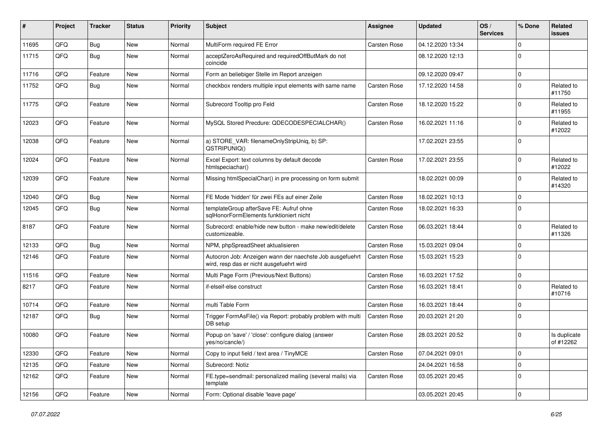| ∦     | Project | <b>Tracker</b> | <b>Status</b> | <b>Priority</b> | <b>Subject</b>                                                                                       | <b>Assignee</b>     | <b>Updated</b>   | OS/<br><b>Services</b> | % Done      | Related<br><b>issues</b>  |
|-------|---------|----------------|---------------|-----------------|------------------------------------------------------------------------------------------------------|---------------------|------------------|------------------------|-------------|---------------------------|
| 11695 | QFQ     | Bug            | New           | Normal          | MultiForm required FE Error                                                                          | <b>Carsten Rose</b> | 04.12.2020 13:34 |                        | $\Omega$    |                           |
| 11715 | QFQ     | Bug            | <b>New</b>    | Normal          | acceptZeroAsRequired and requiredOffButMark do not<br>coincide                                       |                     | 08.12.2020 12:13 |                        | $\Omega$    |                           |
| 11716 | QFQ     | Feature        | New           | Normal          | Form an beliebiger Stelle im Report anzeigen                                                         |                     | 09.12.2020 09:47 |                        | $\mathbf 0$ |                           |
| 11752 | QFQ     | Bug            | <b>New</b>    | Normal          | checkbox renders multiple input elements with same name                                              | Carsten Rose        | 17.12.2020 14:58 |                        | $\Omega$    | Related to<br>#11750      |
| 11775 | QFQ     | Feature        | <b>New</b>    | Normal          | Subrecord Tooltip pro Feld                                                                           | Carsten Rose        | 18.12.2020 15:22 |                        | $\Omega$    | Related to<br>#11955      |
| 12023 | QFQ     | Feature        | <b>New</b>    | Normal          | MySQL Stored Precdure: QDECODESPECIALCHAR()                                                          | <b>Carsten Rose</b> | 16.02.2021 11:16 |                        | $\Omega$    | Related to<br>#12022      |
| 12038 | QFQ     | Feature        | New           | Normal          | a) STORE_VAR: filenameOnlyStripUniq, b) SP:<br>QSTRIPUNIQ()                                          |                     | 17.02.2021 23:55 |                        | $\mathbf 0$ |                           |
| 12024 | QFQ     | Feature        | <b>New</b>    | Normal          | Excel Export: text columns by default decode<br>htmlspeciachar()                                     | Carsten Rose        | 17.02.2021 23:55 |                        | $\Omega$    | Related to<br>#12022      |
| 12039 | QFQ     | Feature        | New           | Normal          | Missing htmlSpecialChar() in pre processing on form submit                                           |                     | 18.02.2021 00:09 |                        | $\Omega$    | Related to<br>#14320      |
| 12040 | QFQ     | Bug            | <b>New</b>    | Normal          | FE Mode 'hidden' für zwei FEs auf einer Zeile                                                        | <b>Carsten Rose</b> | 18.02.2021 10:13 |                        | $\mathbf 0$ |                           |
| 12045 | QFQ     | <b>Bug</b>     | <b>New</b>    | Normal          | templateGroup afterSave FE: Aufruf ohne<br>sqlHonorFormElements funktioniert nicht                   | Carsten Rose        | 18.02.2021 16:33 |                        | $\Omega$    |                           |
| 8187  | QFQ     | Feature        | <b>New</b>    | Normal          | Subrecord: enable/hide new button - make new/edit/delete<br>customizeable.                           | Carsten Rose        | 06.03.2021 18:44 |                        | $\Omega$    | Related to<br>#11326      |
| 12133 | QFQ     | Bug            | <b>New</b>    | Normal          | NPM, phpSpreadSheet aktualisieren                                                                    | <b>Carsten Rose</b> | 15.03.2021 09:04 |                        | $\Omega$    |                           |
| 12146 | QFQ     | Feature        | <b>New</b>    | Normal          | Autocron Job: Anzeigen wann der naechste Job ausgefuehrt<br>wird, resp das er nicht ausgefuehrt wird | <b>Carsten Rose</b> | 15.03.2021 15:23 |                        | $\Omega$    |                           |
| 11516 | QFQ     | Feature        | <b>New</b>    | Normal          | Multi Page Form (Previous/Next Buttons)                                                              | <b>Carsten Rose</b> | 16.03.2021 17:52 |                        | $\mathbf 0$ |                           |
| 8217  | QFQ     | Feature        | <b>New</b>    | Normal          | if-elseif-else construct                                                                             | Carsten Rose        | 16.03.2021 18:41 |                        | $\Omega$    | Related to<br>#10716      |
| 10714 | QFQ     | Feature        | <b>New</b>    | Normal          | multi Table Form                                                                                     | Carsten Rose        | 16.03.2021 18:44 |                        | $\Omega$    |                           |
| 12187 | QFQ     | Bug            | <b>New</b>    | Normal          | Trigger FormAsFile() via Report: probably problem with multi<br>DB setup                             | <b>Carsten Rose</b> | 20.03.2021 21:20 |                        | $\Omega$    |                           |
| 10080 | QFQ     | Feature        | <b>New</b>    | Normal          | Popup on 'save' / 'close': configure dialog (answer<br>yes/no/cancle/)                               | Carsten Rose        | 28.03.2021 20:52 |                        | $\mathbf 0$ | Is duplicate<br>of #12262 |
| 12330 | QFQ     | Feature        | New           | Normal          | Copy to input field / text area / TinyMCE                                                            | Carsten Rose        | 07.04.2021 09:01 |                        | $\mathbf 0$ |                           |
| 12135 | QFQ     | Feature        | New           | Normal          | Subrecord: Notiz                                                                                     |                     | 24.04.2021 16:58 |                        | $\mathbf 0$ |                           |
| 12162 | QFQ     | Feature        | New           | Normal          | FE.type=sendmail: personalized mailing (several mails) via<br>template                               | Carsten Rose        | 03.05.2021 20:45 |                        | $\Omega$    |                           |
| 12156 | QFG     | Feature        | New           | Normal          | Form: Optional disable 'leave page'                                                                  |                     | 03.05.2021 20:45 |                        | $\mathbf 0$ |                           |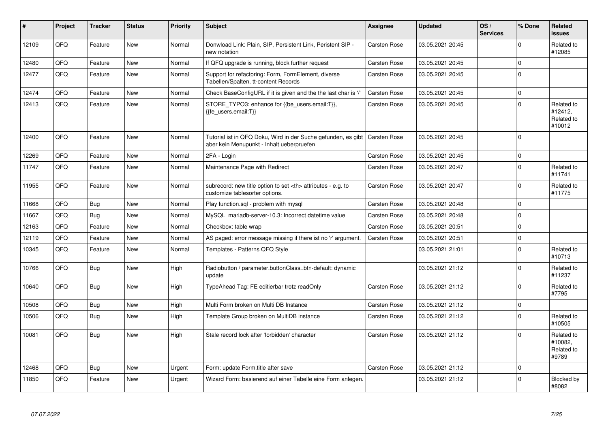| $\vert$ # | <b>Project</b> | <b>Tracker</b> | <b>Status</b> | <b>Priority</b> | <b>Subject</b>                                                                                                            | Assignee                                               | <b>Updated</b>   | OS/<br><b>Services</b> | % Done      | Related<br><b>issues</b>                      |                      |
|-----------|----------------|----------------|---------------|-----------------|---------------------------------------------------------------------------------------------------------------------------|--------------------------------------------------------|------------------|------------------------|-------------|-----------------------------------------------|----------------------|
| 12109     | QFQ            | Feature        | New           | Normal          | Donwload Link: Plain, SIP, Persistent Link, Peristent SIP -<br>new notation                                               | Carsten Rose                                           | 03.05.2021 20:45 |                        | $\Omega$    | Related to<br>#12085                          |                      |
| 12480     | QFQ            | Feature        | New           | Normal          | If QFQ upgrade is running, block further request                                                                          | <b>Carsten Rose</b>                                    | 03.05.2021 20:45 |                        | $\mathbf 0$ |                                               |                      |
| 12477     | QFQ            | Feature        | New           | Normal          | Support for refactoring: Form, FormElement, diverse<br>Tabellen/Spalten, tt-content Records                               | Carsten Rose                                           | 03.05.2021 20:45 |                        | $\mathbf 0$ |                                               |                      |
| 12474     | QFQ            | Feature        | <b>New</b>    | Normal          | Check BaseConfigURL if it is given and the the last char is '/'                                                           | Carsten Rose                                           | 03.05.2021 20:45 |                        | $\Omega$    |                                               |                      |
| 12413     | QFQ            | Feature        | New           | Normal          | STORE_TYPO3: enhance for {{be_users.email:T}},<br>{{fe users.email:T}}                                                    | Carsten Rose                                           | 03.05.2021 20:45 |                        | $\mathbf 0$ | Related to<br>#12412.<br>Related to<br>#10012 |                      |
| 12400     | QFQ            | Feature        | <b>New</b>    | Normal          | Tutorial ist in QFQ Doku, Wird in der Suche gefunden, es gibt   Carsten Rose<br>aber kein Menupunkt - Inhalt ueberpruefen |                                                        | 03.05.2021 20:45 |                        | $\mathbf 0$ |                                               |                      |
| 12269     | QFQ            | Feature        | <b>New</b>    | Normal          | 2FA - Login                                                                                                               | Carsten Rose                                           | 03.05.2021 20:45 |                        | $\mathbf 0$ |                                               |                      |
| 11747     | QFQ            | Feature        | <b>New</b>    | Normal          | Maintenance Page with Redirect                                                                                            | Carsten Rose                                           | 03.05.2021 20:47 |                        | $\Omega$    | Related to<br>#11741                          |                      |
| 11955     | QFQ            | Feature        | <b>New</b>    | Normal          | subrecord: new title option to set <th> attributes - e.g. to<br/>customize tablesorter options.</th>                      | attributes - e.g. to<br>customize tablesorter options. | Carsten Rose     | 03.05.2021 20:47       |             | $\Omega$                                      | Related to<br>#11775 |
| 11668     | QFQ            | Bug            | New           | Normal          | Play function.sql - problem with mysql                                                                                    | Carsten Rose                                           | 03.05.2021 20:48 |                        | $\mathbf 0$ |                                               |                      |
| 11667     | QFQ            | <b>Bug</b>     | <b>New</b>    | Normal          | MySQL mariadb-server-10.3: Incorrect datetime value                                                                       | Carsten Rose                                           | 03.05.2021 20:48 |                        | $\mathbf 0$ |                                               |                      |
| 12163     | QFQ            | Feature        | <b>New</b>    | Normal          | Checkbox: table wrap                                                                                                      | Carsten Rose                                           | 03.05.2021 20:51 |                        | $\Omega$    |                                               |                      |
| 12119     | QFQ            | Feature        | <b>New</b>    | Normal          | AS paged: error message missing if there ist no 'r' argument.                                                             | Carsten Rose                                           | 03.05.2021 20:51 |                        | $\mathbf 0$ |                                               |                      |
| 10345     | QFQ            | Feature        | <b>New</b>    | Normal          | Templates - Patterns QFQ Style                                                                                            |                                                        | 03.05.2021 21:01 |                        | $\Omega$    | Related to<br>#10713                          |                      |
| 10766     | QFQ            | Bug            | <b>New</b>    | High            | Radiobutton / parameter.buttonClass=btn-default: dynamic<br>update                                                        |                                                        | 03.05.2021 21:12 |                        | $\Omega$    | Related to<br>#11237                          |                      |
| 10640     | QFQ            | Bug            | New           | High            | TypeAhead Tag: FE editierbar trotz readOnly                                                                               | Carsten Rose                                           | 03.05.2021 21:12 |                        | $\mathbf 0$ | Related to<br>#7795                           |                      |
| 10508     | QFQ            | Bug            | <b>New</b>    | High            | Multi Form broken on Multi DB Instance                                                                                    | Carsten Rose                                           | 03.05.2021 21:12 |                        | $\mathbf 0$ |                                               |                      |
| 10506     | QFQ            | Bug            | <b>New</b>    | High            | Template Group broken on MultiDB instance                                                                                 | Carsten Rose                                           | 03.05.2021 21:12 |                        | $\Omega$    | Related to<br>#10505                          |                      |
| 10081     | QFQ            | Bug            | New           | High            | Stale record lock after 'forbidden' character                                                                             | Carsten Rose                                           | 03.05.2021 21:12 |                        | $\Omega$    | Related to<br>#10082,<br>Related to<br>#9789  |                      |
| 12468     | QFQ            | Bug            | <b>New</b>    | Urgent          | Form: update Form.title after save                                                                                        | <b>Carsten Rose</b>                                    | 03.05.2021 21:12 |                        | $\Omega$    |                                               |                      |
| 11850     | QFQ            | Feature        | New           | Urgent          | Wizard Form: basierend auf einer Tabelle eine Form anlegen.                                                               |                                                        | 03.05.2021 21:12 |                        | $\Omega$    | Blocked by<br>#8082                           |                      |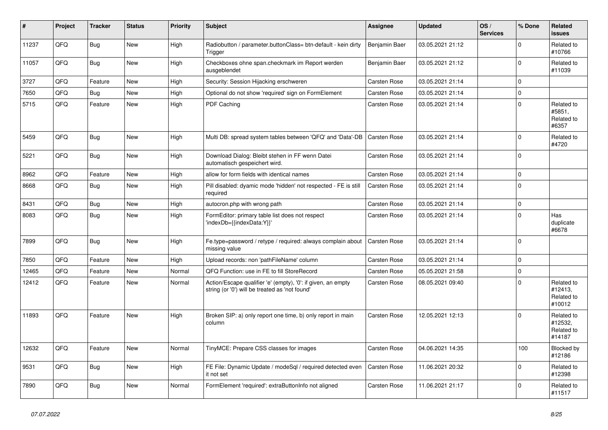| ∦     | Project | <b>Tracker</b> | <b>Status</b> | <b>Priority</b> | <b>Subject</b>                                                                                                 | <b>Assignee</b>     | <b>Updated</b>   | OS/<br><b>Services</b> | % Done      | Related<br><b>issues</b>                      |
|-------|---------|----------------|---------------|-----------------|----------------------------------------------------------------------------------------------------------------|---------------------|------------------|------------------------|-------------|-----------------------------------------------|
| 11237 | QFQ     | Bug            | <b>New</b>    | High            | Radiobutton / parameter.buttonClass= btn-default - kein dirty<br>Trigger                                       | Benjamin Baer       | 03.05.2021 21:12 |                        | $\mathbf 0$ | Related to<br>#10766                          |
| 11057 | QFQ     | Bug            | <b>New</b>    | High            | Checkboxes ohne span.checkmark im Report werden<br>ausgeblendet                                                | Benjamin Baer       | 03.05.2021 21:12 |                        | $\Omega$    | Related to<br>#11039                          |
| 3727  | QFQ     | Feature        | <b>New</b>    | High            | Security: Session Hijacking erschweren                                                                         | Carsten Rose        | 03.05.2021 21:14 |                        | $\mathbf 0$ |                                               |
| 7650  | QFQ     | <b>Bug</b>     | <b>New</b>    | High            | Optional do not show 'required' sign on FormElement                                                            | Carsten Rose        | 03.05.2021 21:14 |                        | $\mathbf 0$ |                                               |
| 5715  | QFQ     | Feature        | New           | High            | PDF Caching                                                                                                    | <b>Carsten Rose</b> | 03.05.2021 21:14 |                        | $\mathbf 0$ | Related to<br>#5851,<br>Related to<br>#6357   |
| 5459  | QFQ     | <b>Bug</b>     | <b>New</b>    | High            | Multi DB: spread system tables between 'QFQ' and 'Data'-DB                                                     | Carsten Rose        | 03.05.2021 21:14 |                        | $\mathbf 0$ | Related to<br>#4720                           |
| 5221  | QFQ     | Bug            | <b>New</b>    | High            | Download Dialog: Bleibt stehen in FF wenn Datei<br>automatisch gespeichert wird.                               | Carsten Rose        | 03.05.2021 21:14 |                        | $\Omega$    |                                               |
| 8962  | QFQ     | Feature        | <b>New</b>    | High            | allow for form fields with identical names                                                                     | Carsten Rose        | 03.05.2021 21:14 |                        | $\mathbf 0$ |                                               |
| 8668  | QFQ     | <b>Bug</b>     | New           | High            | Pill disabled: dyamic mode 'hidden' not respected - FE is still<br>required                                    | Carsten Rose        | 03.05.2021 21:14 |                        | $\mathbf 0$ |                                               |
| 8431  | QFQ     | Bug            | <b>New</b>    | High            | autocron.php with wrong path                                                                                   | Carsten Rose        | 03.05.2021 21:14 |                        | $\pmb{0}$   |                                               |
| 8083  | QFQ     | Bug            | <b>New</b>    | High            | FormEditor: primary table list does not respect<br>'indexDb={{indexData:Y}}'                                   | Carsten Rose        | 03.05.2021 21:14 |                        | $\Omega$    | Has<br>duplicate<br>#6678                     |
| 7899  | QFQ     | Bug            | New           | High            | Fe.type=password / retype / required: always complain about<br>missing value                                   | Carsten Rose        | 03.05.2021 21:14 |                        | $\mathbf 0$ |                                               |
| 7850  | OFQ     | Feature        | <b>New</b>    | High            | Upload records: non 'pathFileName' column                                                                      | <b>Carsten Rose</b> | 03.05.2021 21:14 |                        | $\pmb{0}$   |                                               |
| 12465 | QFQ     | Feature        | <b>New</b>    | Normal          | QFQ Function: use in FE to fill StoreRecord                                                                    | Carsten Rose        | 05.05.2021 21:58 |                        | $\mathbf 0$ |                                               |
| 12412 | QFQ     | Feature        | <b>New</b>    | Normal          | Action/Escape qualifier 'e' (empty), '0': if given, an empty<br>string (or '0') will be treated as 'not found' | Carsten Rose        | 08.05.2021 09:40 |                        | $\Omega$    | Related to<br>#12413.<br>Related to<br>#10012 |
| 11893 | QFQ     | Feature        | <b>New</b>    | High            | Broken SIP: a) only report one time, b) only report in main<br>column                                          | Carsten Rose        | 12.05.2021 12:13 |                        | $\Omega$    | Related to<br>#12532,<br>Related to<br>#14187 |
| 12632 | QFQ     | Feature        | <b>New</b>    | Normal          | TinyMCE: Prepare CSS classes for images                                                                        | Carsten Rose        | 04.06.2021 14:35 |                        | 100         | Blocked by<br>#12186                          |
| 9531  | QFQ     | Bug            | <b>New</b>    | High            | FE File: Dynamic Update / modeSgl / required detected even<br>it not set                                       | <b>Carsten Rose</b> | 11.06.2021 20:32 |                        | $\mathbf 0$ | Related to<br>#12398                          |
| 7890  | QFQ     | Bug            | <b>New</b>    | Normal          | FormElement 'required': extraButtonInfo not aligned                                                            | Carsten Rose        | 11.06.2021 21:17 |                        | $\mathbf 0$ | Related to<br>#11517                          |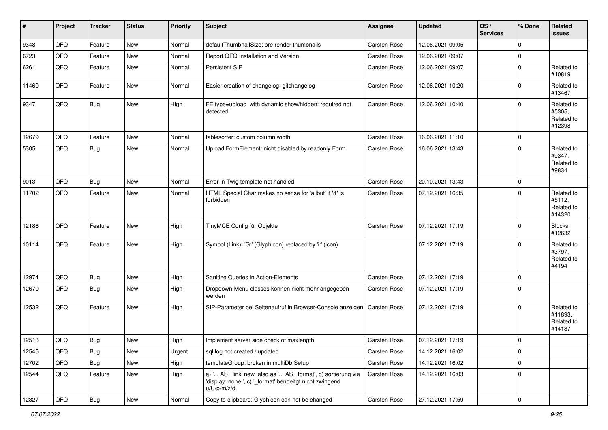| #     | Project | <b>Tracker</b> | <b>Status</b> | <b>Priority</b> | <b>Subject</b>                                                                                                                        | Assignee            | <b>Updated</b>   | OS/<br><b>Services</b> | % Done      | Related<br><b>issues</b>                      |
|-------|---------|----------------|---------------|-----------------|---------------------------------------------------------------------------------------------------------------------------------------|---------------------|------------------|------------------------|-------------|-----------------------------------------------|
| 9348  | QFQ     | Feature        | New           | Normal          | defaultThumbnailSize: pre render thumbnails                                                                                           | Carsten Rose        | 12.06.2021 09:05 |                        | $\mathbf 0$ |                                               |
| 6723  | QFQ     | Feature        | New           | Normal          | Report QFQ Installation and Version                                                                                                   | Carsten Rose        | 12.06.2021 09:07 |                        | $\mathbf 0$ |                                               |
| 6261  | QFQ     | Feature        | New           | Normal          | Persistent SIP                                                                                                                        | Carsten Rose        | 12.06.2021 09:07 |                        | $\mathbf 0$ | Related to<br>#10819                          |
| 11460 | QFQ     | Feature        | New           | Normal          | Easier creation of changelog: gitchangelog                                                                                            | Carsten Rose        | 12.06.2021 10:20 |                        | $\mathbf 0$ | Related to<br>#13467                          |
| 9347  | QFQ     | Bug            | New           | High            | FE.type=upload with dynamic show/hidden: required not<br>detected                                                                     | Carsten Rose        | 12.06.2021 10:40 |                        | $\mathbf 0$ | Related to<br>#5305,<br>Related to<br>#12398  |
| 12679 | QFQ     | Feature        | New           | Normal          | tablesorter: custom column width                                                                                                      | Carsten Rose        | 16.06.2021 11:10 |                        | $\mathbf 0$ |                                               |
| 5305  | QFQ     | Bug            | New           | Normal          | Upload FormElement: nicht disabled by readonly Form                                                                                   | Carsten Rose        | 16.06.2021 13:43 |                        | $\mathbf 0$ | Related to<br>#9347,<br>Related to<br>#9834   |
| 9013  | QFQ     | Bug            | New           | Normal          | Error in Twig template not handled                                                                                                    | Carsten Rose        | 20.10.2021 13:43 |                        | $\mathbf 0$ |                                               |
| 11702 | QFQ     | Feature        | New           | Normal          | HTML Special Char makes no sense for 'allbut' if '&' is<br>forbidden                                                                  | Carsten Rose        | 07.12.2021 16:35 |                        | $\mathbf 0$ | Related to<br>#5112,<br>Related to<br>#14320  |
| 12186 | QFQ     | Feature        | New           | High            | TinyMCE Config für Objekte                                                                                                            | <b>Carsten Rose</b> | 07.12.2021 17:19 |                        | $\mathbf 0$ | <b>Blocks</b><br>#12632                       |
| 10114 | QFQ     | Feature        | New           | High            | Symbol (Link): 'G:' (Glyphicon) replaced by 'i:' (icon)                                                                               |                     | 07.12.2021 17:19 |                        | $\Omega$    | Related to<br>#3797,<br>Related to<br>#4194   |
| 12974 | QFQ     | Bug            | New           | High            | Sanitize Queries in Action-Elements                                                                                                   | Carsten Rose        | 07.12.2021 17:19 |                        | $\mathbf 0$ |                                               |
| 12670 | QFQ     | Bug            | New           | High            | Dropdown-Menu classes können nicht mehr angegeben<br>werden                                                                           | Carsten Rose        | 07.12.2021 17:19 |                        | $\mathbf 0$ |                                               |
| 12532 | QFQ     | Feature        | New           | High            | SIP-Parameter bei Seitenaufruf in Browser-Console anzeigen                                                                            | Carsten Rose        | 07.12.2021 17:19 |                        | $\mathbf 0$ | Related to<br>#11893,<br>Related to<br>#14187 |
| 12513 | QFQ     | Bug            | New           | High            | Implement server side check of maxlength                                                                                              | <b>Carsten Rose</b> | 07.12.2021 17:19 |                        | $\mathbf 0$ |                                               |
| 12545 | QFQ     | Bug            | New           | Urgent          | sql.log not created / updated                                                                                                         | Carsten Rose        | 14.12.2021 16:02 |                        | $\mathbf 0$ |                                               |
| 12702 | QFQ     | Bug            | New           | High            | templateGroup: broken in multiDb Setup                                                                                                | Carsten Rose        | 14.12.2021 16:02 |                        | $\mathbf 0$ |                                               |
| 12544 | QFQ     | Feature        | New           | High            | a) ' AS _link' new also as ' AS _format', b) sortierung via<br>'display: none;', c) ' format' benoeitgt nicht zwingend<br>u/U/p/m/z/d | Carsten Rose        | 14.12.2021 16:03 |                        | $\mathbf 0$ |                                               |
| 12327 | QFQ     | Bug            | New           | Normal          | Copy to clipboard: Glyphicon can not be changed                                                                                       | Carsten Rose        | 27.12.2021 17:59 |                        | $\mathbf 0$ |                                               |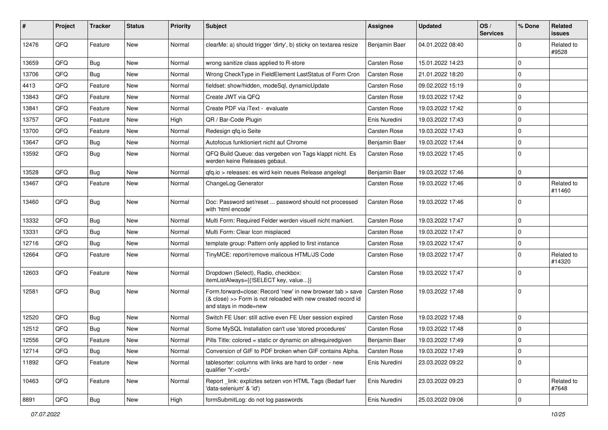| #     | Project | <b>Tracker</b> | <b>Status</b> | <b>Priority</b> | Subject                                                                                                                                             | Assignee            | <b>Updated</b>   | OS/<br><b>Services</b> | % Done      | Related<br>issues    |
|-------|---------|----------------|---------------|-----------------|-----------------------------------------------------------------------------------------------------------------------------------------------------|---------------------|------------------|------------------------|-------------|----------------------|
| 12476 | QFQ     | Feature        | <b>New</b>    | Normal          | clearMe: a) should trigger 'dirty', b) sticky on textarea resize                                                                                    | Benjamin Baer       | 04.01.2022 08:40 |                        | $\mathbf 0$ | Related to<br>#9528  |
| 13659 | QFQ     | <b>Bug</b>     | New           | Normal          | wrong sanitize class applied to R-store                                                                                                             | Carsten Rose        | 15.01.2022 14:23 |                        | 0           |                      |
| 13706 | QFQ     | Bug            | New           | Normal          | Wrong CheckType in FieldElement LastStatus of Form Cron                                                                                             | <b>Carsten Rose</b> | 21.01.2022 18:20 |                        | $\mathbf 0$ |                      |
| 4413  | QFQ     | Feature        | New           | Normal          | fieldset: show/hidden, modeSql, dynamicUpdate                                                                                                       | Carsten Rose        | 09.02.2022 15:19 |                        | $\mathbf 0$ |                      |
| 13843 | QFQ     | Feature        | New           | Normal          | Create JWT via QFQ                                                                                                                                  | Carsten Rose        | 19.03.2022 17:42 |                        | $\mathbf 0$ |                      |
| 13841 | QFQ     | Feature        | New           | Normal          | Create PDF via iText - evaluate                                                                                                                     | Carsten Rose        | 19.03.2022 17:42 |                        | $\mathbf 0$ |                      |
| 13757 | QFQ     | Feature        | New           | High            | QR / Bar-Code Plugin                                                                                                                                | Enis Nuredini       | 19.03.2022 17:43 |                        | $\mathbf 0$ |                      |
| 13700 | QFQ     | Feature        | New           | Normal          | Redesign qfq.io Seite                                                                                                                               | <b>Carsten Rose</b> | 19.03.2022 17:43 |                        | $\mathbf 0$ |                      |
| 13647 | QFQ     | Bug            | New           | Normal          | Autofocus funktioniert nicht auf Chrome                                                                                                             | Benjamin Baer       | 19.03.2022 17:44 |                        | $\mathbf 0$ |                      |
| 13592 | QFQ     | Bug            | New           | Normal          | QFQ Build Queue: das vergeben von Tags klappt nicht. Es<br>werden keine Releases gebaut.                                                            | Carsten Rose        | 19.03.2022 17:45 |                        | $\Omega$    |                      |
| 13528 | QFQ     | Bug            | New           | Normal          | qfq.io > releases: es wird kein neues Release angelegt                                                                                              | Benjamin Baer       | 19.03.2022 17:46 |                        | $\mathbf 0$ |                      |
| 13467 | QFQ     | Feature        | New           | Normal          | ChangeLog Generator                                                                                                                                 | Carsten Rose        | 19.03.2022 17:46 |                        | $\mathbf 0$ | Related to<br>#11460 |
| 13460 | QFQ     | Bug            | New           | Normal          | Doc: Password set/reset  password should not processed<br>with 'html encode'                                                                        | Carsten Rose        | 19.03.2022 17:46 |                        | $\mathbf 0$ |                      |
| 13332 | QFQ     | Bug            | New           | Normal          | Multi Form: Required Felder werden visuell nicht markiert.                                                                                          | Carsten Rose        | 19.03.2022 17:47 |                        | $\mathbf 0$ |                      |
| 13331 | QFQ     | Bug            | New           | Normal          | Multi Form: Clear Icon misplaced                                                                                                                    | Carsten Rose        | 19.03.2022 17:47 |                        | $\mathbf 0$ |                      |
| 12716 | QFQ     | Bug            | New           | Normal          | template group: Pattern only applied to first instance                                                                                              | <b>Carsten Rose</b> | 19.03.2022 17:47 |                        | $\mathbf 0$ |                      |
| 12664 | QFQ     | Feature        | New           | Normal          | TinyMCE: report/remove malicous HTML/JS Code                                                                                                        | Carsten Rose        | 19.03.2022 17:47 |                        | $\mathbf 0$ | Related to<br>#14320 |
| 12603 | QFQ     | Feature        | New           | Normal          | Dropdown (Select), Radio, checkbox:<br>itemListAlways={{!SELECT key, value}}                                                                        | Carsten Rose        | 19.03.2022 17:47 |                        | $\Omega$    |                      |
| 12581 | QFQ     | Bug            | <b>New</b>    | Normal          | Form.forward=close: Record 'new' in new browser tab > save<br>(& close) >> Form is not reloaded with new created record id<br>and stays in mode=new | Carsten Rose        | 19.03.2022 17:48 |                        | $\mathbf 0$ |                      |
| 12520 | QFQ     | <b>Bug</b>     | New           | Normal          | Switch FE User: still active even FE User session expired                                                                                           | <b>Carsten Rose</b> | 19.03.2022 17:48 |                        | $\mathbf 0$ |                      |
| 12512 | QFQ     | Bug            | New           | Normal          | Some MySQL Installation can't use 'stored procedures'                                                                                               | Carsten Rose        | 19.03.2022 17:48 |                        | $\mathbf 0$ |                      |
| 12556 | QFQ     | Feature        | New           | Normal          | Pills Title: colored = static or dynamic on allrequiredgiven                                                                                        | Benjamin Baer       | 19.03.2022 17:49 |                        | 0           |                      |
| 12714 | QFQ     | Bug            | New           | Normal          | Conversion of GIF to PDF broken when GIF contains Alpha.                                                                                            | Carsten Rose        | 19.03.2022 17:49 |                        | $\mathbf 0$ |                      |
| 11892 | QFQ     | Feature        | New           | Normal          | tablesorter: columns with links are hard to order - new<br>qualifier 'Y: <ord>'</ord>                                                               | Enis Nuredini       | 23.03.2022 09:22 |                        | $\mathbf 0$ |                      |
| 10463 | QFQ     | Feature        | New           | Normal          | Report _link: expliztes setzen von HTML Tags (Bedarf fuer<br>'data-selenium' & 'id')                                                                | Enis Nuredini       | 23.03.2022 09:23 |                        | 0           | Related to<br>#7648  |
| 8891  | QFQ     | <b>Bug</b>     | New           | High            | formSubmitLog: do not log passwords                                                                                                                 | Enis Nuredini       | 25.03.2022 09:06 |                        | $\mathbf 0$ |                      |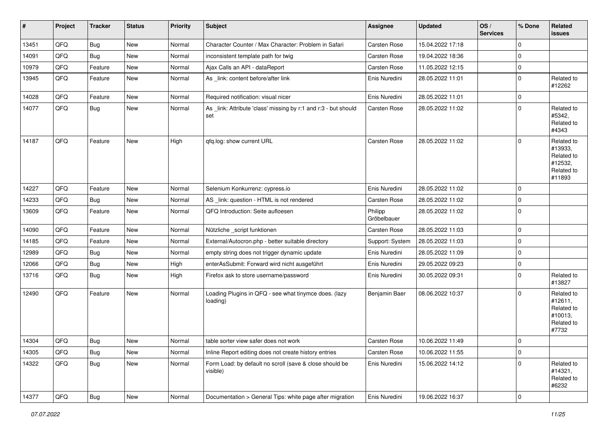| $\#$  | Project | <b>Tracker</b> | <b>Status</b> | <b>Priority</b> | <b>Subject</b>                                                         | <b>Assignee</b>        | <b>Updated</b>   | OS/<br><b>Services</b> | % Done      | Related<br><b>issues</b>                                               |
|-------|---------|----------------|---------------|-----------------|------------------------------------------------------------------------|------------------------|------------------|------------------------|-------------|------------------------------------------------------------------------|
| 13451 | QFQ     | Bug            | New           | Normal          | Character Counter / Max Character: Problem in Safari                   | Carsten Rose           | 15.04.2022 17:18 |                        | $\mathbf 0$ |                                                                        |
| 14091 | QFQ     | Bug            | New           | Normal          | inconsistent template path for twig                                    | <b>Carsten Rose</b>    | 19.04.2022 18:36 |                        | $\mathbf 0$ |                                                                        |
| 10979 | QFQ     | Feature        | New           | Normal          | Ajax Calls an API - dataReport                                         | Carsten Rose           | 11.05.2022 12:15 |                        | $\mathbf 0$ |                                                                        |
| 13945 | QFQ     | Feature        | <b>New</b>    | Normal          | As _link: content before/after link                                    | Enis Nuredini          | 28.05.2022 11:01 |                        | $\mathbf 0$ | Related to<br>#12262                                                   |
| 14028 | QFQ     | Feature        | New           | Normal          | Required notification: visual nicer                                    | Enis Nuredini          | 28.05.2022 11:01 |                        | $\mathbf 0$ |                                                                        |
| 14077 | QFQ     | <b>Bug</b>     | New           | Normal          | As _link: Attribute 'class' missing by r:1 and r:3 - but should<br>set | Carsten Rose           | 28.05.2022 11:02 |                        | $\mathbf 0$ | Related to<br>#5342,<br>Related to<br>#4343                            |
| 14187 | QFQ     | Feature        | New           | High            | qfq.log: show current URL                                              | <b>Carsten Rose</b>    | 28.05.2022 11:02 |                        | $\mathbf 0$ | Related to<br>#13933,<br>Related to<br>#12532,<br>Related to<br>#11893 |
| 14227 | QFQ     | Feature        | New           | Normal          | Selenium Konkurrenz: cypress.io                                        | Enis Nuredini          | 28.05.2022 11:02 |                        | $\Omega$    |                                                                        |
| 14233 | QFQ     | <b>Bug</b>     | New           | Normal          | AS_link: question - HTML is not rendered                               | Carsten Rose           | 28.05.2022 11:02 |                        | 0           |                                                                        |
| 13609 | QFQ     | Feature        | New           | Normal          | QFQ Introduction: Seite aufloesen                                      | Philipp<br>Gröbelbauer | 28.05.2022 11:02 |                        | $\mathbf 0$ |                                                                        |
| 14090 | QFQ     | Feature        | New           | Normal          | Nützliche _script funktionen                                           | <b>Carsten Rose</b>    | 28.05.2022 11:03 |                        | $\mathbf 0$ |                                                                        |
| 14185 | QFQ     | Feature        | New           | Normal          | External/Autocron.php - better suitable directory                      | Support: System        | 28.05.2022 11:03 |                        | $\mathbf 0$ |                                                                        |
| 12989 | QFQ     | Bug            | New           | Normal          | empty string does not trigger dynamic update                           | Enis Nuredini          | 28.05.2022 11:09 |                        | $\mathbf 0$ |                                                                        |
| 12066 | QFQ     | Bug            | New           | High            | enterAsSubmit: Forward wird nicht ausgeführt                           | Enis Nuredini          | 29.05.2022 09:23 |                        | 0           |                                                                        |
| 13716 | QFQ     | <b>Bug</b>     | New           | High            | Firefox ask to store username/password                                 | Enis Nuredini          | 30.05.2022 09:31 |                        | $\mathbf 0$ | Related to<br>#13827                                                   |
| 12490 | QFQ     | Feature        | New           | Normal          | Loading Plugins in QFQ - see what tinymce does. (lazy<br>loading)      | Benjamin Baer          | 08.06.2022 10:37 |                        | $\mathbf 0$ | Related to<br>#12611,<br>Related to<br>#10013,<br>Related to<br>#7732  |
| 14304 | QFQ     | Bug            | New           | Normal          | table sorter view safer does not work                                  | <b>Carsten Rose</b>    | 10.06.2022 11:49 |                        | $\mathbf 0$ |                                                                        |
| 14305 | QFQ     | Bug            | New           | Normal          | Inline Report editing does not create history entries                  | Carsten Rose           | 10.06.2022 11:55 |                        | $\mathbf 0$ |                                                                        |
| 14322 | QFQ     | <b>Bug</b>     | New           | Normal          | Form Load: by default no scroll (save & close should be<br>visible)    | Enis Nuredini          | 15.06.2022 14:12 |                        | $\mathbf 0$ | Related to<br>#14321,<br>Related to<br>#6232                           |
| 14377 | QFQ     | Bug            | New           | Normal          | Documentation > General Tips: white page after migration               | Enis Nuredini          | 19.06.2022 16:37 |                        | $\mathbf 0$ |                                                                        |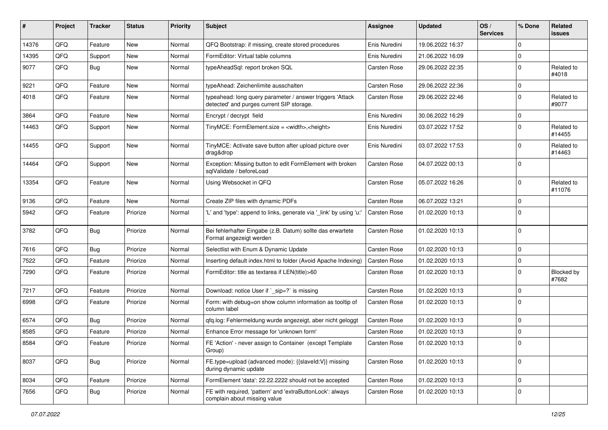| #     | <b>Project</b> | <b>Tracker</b> | <b>Status</b> | <b>Priority</b> | <b>Subject</b>                                                                                         | <b>Assignee</b>     | <b>Updated</b>   | OS/<br><b>Services</b> | % Done         | Related<br><b>issues</b> |
|-------|----------------|----------------|---------------|-----------------|--------------------------------------------------------------------------------------------------------|---------------------|------------------|------------------------|----------------|--------------------------|
| 14376 | QFQ            | Feature        | New           | Normal          | QFQ Bootstrap: if missing, create stored procedures                                                    | Enis Nuredini       | 19.06.2022 16:37 |                        | $\Omega$       |                          |
| 14395 | QFQ            | Support        | New           | Normal          | FormEditor: Virtual table columns                                                                      | Enis Nuredini       | 21.06.2022 16:09 |                        | $\mathbf 0$    |                          |
| 9077  | QFQ            | Bug            | New           | Normal          | typeAheadSql: report broken SQL                                                                        | Carsten Rose        | 29.06.2022 22:35 |                        | $\mathbf 0$    | Related to<br>#4018      |
| 9221  | QFQ            | Feature        | New           | Normal          | typeAhead: Zeichenlimite ausschalten                                                                   | Carsten Rose        | 29.06.2022 22:36 |                        | $\Omega$       |                          |
| 4018  | QFQ            | Feature        | New           | Normal          | typeahead: long query parameter / answer triggers 'Attack<br>detected' and purges current SIP storage. | Carsten Rose        | 29.06.2022 22:46 |                        | $\Omega$       | Related to<br>#9077      |
| 3864  | QFQ            | Feature        | New           | Normal          | Encrypt / decrypt field                                                                                | Enis Nuredini       | 30.06.2022 16:29 |                        | $\mathbf 0$    |                          |
| 14463 | QFQ            | Support        | New           | Normal          | TinyMCE: FormElement.size = <width>,<height></height></width>                                          | Enis Nuredini       | 03.07.2022 17:52 |                        | $\Omega$       | Related to<br>#14455     |
| 14455 | QFQ            | Support        | New           | Normal          | TinyMCE: Activate save button after upload picture over<br>drag&drop                                   | Enis Nuredini       | 03.07.2022 17:53 |                        | $\Omega$       | Related to<br>#14463     |
| 14464 | QFQ            | Support        | New           | Normal          | Exception: Missing button to edit FormElement with broken<br>sqlValidate / beforeLoad                  | Carsten Rose        | 04.07.2022 00:13 |                        | $\Omega$       |                          |
| 13354 | QFQ            | Feature        | New           | Normal          | Using Websocket in QFQ                                                                                 | Carsten Rose        | 05.07.2022 16:26 |                        | $\Omega$       | Related to<br>#11076     |
| 9136  | QFQ            | Feature        | New           | Normal          | Create ZIP files with dynamic PDFs                                                                     | Carsten Rose        | 06.07.2022 13:21 |                        | $\overline{0}$ |                          |
| 5942  | QFQ            | Feature        | Priorize      | Normal          | 'L' and 'type': append to links, generate via '_link' by using 'u:'                                    | Carsten Rose        | 01.02.2020 10:13 |                        | $\Omega$       |                          |
| 3782  | QFQ            | Bug            | Priorize      | Normal          | Bei fehlerhafter Eingabe (z.B. Datum) sollte das erwartete<br>Format angezeigt werden                  | Carsten Rose        | 01.02.2020 10:13 |                        | $\Omega$       |                          |
| 7616  | QFQ            | Bug            | Priorize      | Normal          | Selectlist with Enum & Dynamic Update                                                                  | Carsten Rose        | 01.02.2020 10:13 |                        | $\mathbf 0$    |                          |
| 7522  | QFQ            | Feature        | Priorize      | Normal          | Inserting default index.html to folder (Avoid Apache Indexing)                                         | <b>Carsten Rose</b> | 01.02.2020 10:13 |                        | $\mathbf 0$    |                          |
| 7290  | QFQ            | Feature        | Priorize      | Normal          | FormEditor: title as textarea if LEN(title)>60                                                         | Carsten Rose        | 01.02.2020 10:13 |                        | $\Omega$       | Blocked by<br>#7682      |
| 7217  | QFQ            | Feature        | Priorize      | Normal          | Download: notice User if `_sip=?` is missing                                                           | Carsten Rose        | 01.02.2020 10:13 |                        | $\mathbf 0$    |                          |
| 6998  | QFQ            | Feature        | Priorize      | Normal          | Form: with debug=on show column information as tooltip of<br>column label                              | Carsten Rose        | 01.02.2020 10:13 |                        | $\mathbf 0$    |                          |
| 6574  | QFQ            | <b>Bug</b>     | Priorize      | Normal          | qfq.log: Fehlermeldung wurde angezeigt, aber nicht geloggt                                             | Carsten Rose        | 01.02.2020 10:13 |                        | $\mathbf 0$    |                          |
| 8585  | QFQ            | Feature        | Priorize      | Normal          | Enhance Error message for 'unknown form'                                                               | Carsten Rose        | 01.02.2020 10:13 |                        | $\mathbf 0$    |                          |
| 8584  | QFQ            | Feature        | Priorize      | Normal          | FE 'Action' - never assign to Container (except Template<br>Group)                                     | Carsten Rose        | 01.02.2020 10:13 |                        | $\Omega$       |                          |
| 8037  | QFQ            | <b>Bug</b>     | Priorize      | Normal          | FE.type=upload (advanced mode): {{slaveId:V}} missing<br>during dynamic update                         | Carsten Rose        | 01.02.2020 10:13 |                        | $\overline{0}$ |                          |
| 8034  | QFQ            | Feature        | Priorize      | Normal          | FormElement 'data': 22.22.2222 should not be accepted                                                  | Carsten Rose        | 01.02.2020 10:13 |                        | $\mathbf 0$    |                          |
| 7656  | QFQ            | <b>Bug</b>     | Priorize      | Normal          | FE with required, 'pattern' and 'extraButtonLock': always<br>complain about missing value              | Carsten Rose        | 01.02.2020 10:13 |                        | $\overline{0}$ |                          |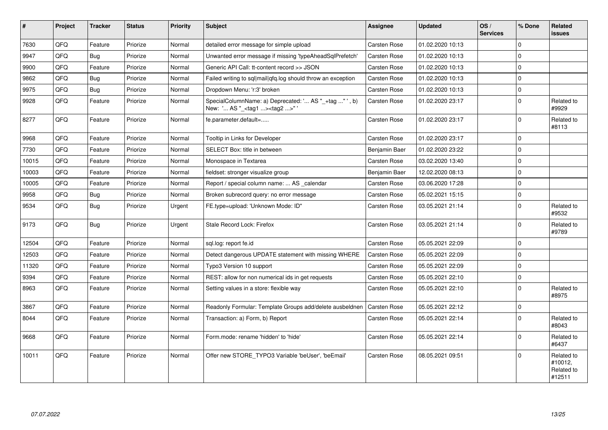| #     | Project | <b>Tracker</b> | <b>Status</b> | <b>Priority</b> | <b>Subject</b>                                                                                     | <b>Assignee</b>     | <b>Updated</b>   | OS/<br><b>Services</b> | % Done      | Related<br><b>issues</b>                      |
|-------|---------|----------------|---------------|-----------------|----------------------------------------------------------------------------------------------------|---------------------|------------------|------------------------|-------------|-----------------------------------------------|
| 7630  | QFQ     | Feature        | Priorize      | Normal          | detailed error message for simple upload                                                           | <b>Carsten Rose</b> | 01.02.2020 10:13 |                        | $\Omega$    |                                               |
| 9947  | QFQ     | Bug            | Priorize      | Normal          | Unwanted error message if missing 'typeAheadSqlPrefetch'                                           | <b>Carsten Rose</b> | 01.02.2020 10:13 |                        | $\mathbf 0$ |                                               |
| 9900  | QFQ     | Feature        | Priorize      | Normal          | Generic API Call: tt-content record >> JSON                                                        | Carsten Rose        | 01.02.2020 10:13 |                        | $\Omega$    |                                               |
| 9862  | QFQ     | Bug            | Priorize      | Normal          | Failed writing to sql mail qfq.log should throw an exception                                       | <b>Carsten Rose</b> | 01.02.2020 10:13 |                        | $\mathbf 0$ |                                               |
| 9975  | QFQ     | Bug            | Priorize      | Normal          | Dropdown Menu: 'r:3' broken                                                                        | Carsten Rose        | 01.02.2020 10:13 |                        | $\mathbf 0$ |                                               |
| 9928  | QFQ     | Feature        | Priorize      | Normal          | SpecialColumnName: a) Deprecated: ' AS "_+tag " ', b)<br>New: ' AS "_ <tag1><tag2>"'</tag2></tag1> | <b>Carsten Rose</b> | 01.02.2020 23:17 |                        | $\mathbf 0$ | Related to<br>#9929                           |
| 8277  | QFQ     | Feature        | Priorize      | Normal          | fe.parameter.default=                                                                              | <b>Carsten Rose</b> | 01.02.2020 23:17 |                        | $\Omega$    | Related to<br>#8113                           |
| 9968  | QFQ     | Feature        | Priorize      | Normal          | Tooltip in Links for Developer                                                                     | Carsten Rose        | 01.02.2020 23:17 |                        | $\mathbf 0$ |                                               |
| 7730  | QFQ     | Feature        | Priorize      | Normal          | SELECT Box: title in between                                                                       | Benjamin Baer       | 01.02.2020 23:22 |                        | $\mathbf 0$ |                                               |
| 10015 | QFQ     | Feature        | Priorize      | Normal          | Monospace in Textarea                                                                              | Carsten Rose        | 03.02.2020 13:40 |                        | $\mathbf 0$ |                                               |
| 10003 | QFQ     | Feature        | Priorize      | Normal          | fieldset: stronger visualize group                                                                 | Benjamin Baer       | 12.02.2020 08:13 |                        | $\mathbf 0$ |                                               |
| 10005 | QFQ     | Feature        | Priorize      | Normal          | Report / special column name:  AS _calendar                                                        | <b>Carsten Rose</b> | 03.06.2020 17:28 |                        | $\mathbf 0$ |                                               |
| 9958  | QFQ     | <b>Bug</b>     | Priorize      | Normal          | Broken subrecord query: no error message                                                           | <b>Carsten Rose</b> | 05.02.2021 15:15 |                        | $\mathbf 0$ |                                               |
| 9534  | QFQ     | Bug            | Priorize      | Urgent          | FE.type=upload: 'Unknown Mode: ID"                                                                 | Carsten Rose        | 03.05.2021 21:14 |                        | $\mathbf 0$ | Related to<br>#9532                           |
| 9173  | QFQ     | <b>Bug</b>     | Priorize      | Urgent          | Stale Record Lock: Firefox                                                                         | <b>Carsten Rose</b> | 03.05.2021 21:14 |                        | $\mathbf 0$ | Related to<br>#9789                           |
| 12504 | QFQ     | Feature        | Priorize      | Normal          | sql.log: report fe.id                                                                              | Carsten Rose        | 05.05.2021 22:09 |                        | $\mathbf 0$ |                                               |
| 12503 | QFQ     | Feature        | Priorize      | Normal          | Detect dangerous UPDATE statement with missing WHERE                                               | <b>Carsten Rose</b> | 05.05.2021 22:09 |                        | $\mathbf 0$ |                                               |
| 11320 | QFQ     | Feature        | Priorize      | Normal          | Typo3 Version 10 support                                                                           | Carsten Rose        | 05.05.2021 22:09 |                        | $\mathbf 0$ |                                               |
| 9394  | QFQ     | Feature        | Priorize      | Normal          | REST: allow for non numerical ids in get requests                                                  | <b>Carsten Rose</b> | 05.05.2021 22:10 |                        | $\mathbf 0$ |                                               |
| 8963  | QFQ     | Feature        | Priorize      | Normal          | Setting values in a store: flexible way                                                            | Carsten Rose        | 05.05.2021 22:10 |                        | $\mathbf 0$ | Related to<br>#8975                           |
| 3867  | QFQ     | Feature        | Priorize      | Normal          | Readonly Formular: Template Groups add/delete ausbeldnen                                           | <b>Carsten Rose</b> | 05.05.2021 22:12 |                        | $\mathbf 0$ |                                               |
| 8044  | QFQ     | Feature        | Priorize      | Normal          | Transaction: a) Form, b) Report                                                                    | Carsten Rose        | 05.05.2021 22:14 |                        | $\Omega$    | Related to<br>#8043                           |
| 9668  | QFQ     | Feature        | Priorize      | Normal          | Form.mode: rename 'hidden' to 'hide'                                                               | Carsten Rose        | 05.05.2021 22:14 |                        | $\mathbf 0$ | Related to<br>#6437                           |
| 10011 | QFQ     | Feature        | Priorize      | Normal          | Offer new STORE TYPO3 Variable 'beUser', 'beEmail'                                                 | <b>Carsten Rose</b> | 08.05.2021 09:51 |                        | $\Omega$    | Related to<br>#10012,<br>Related to<br>#12511 |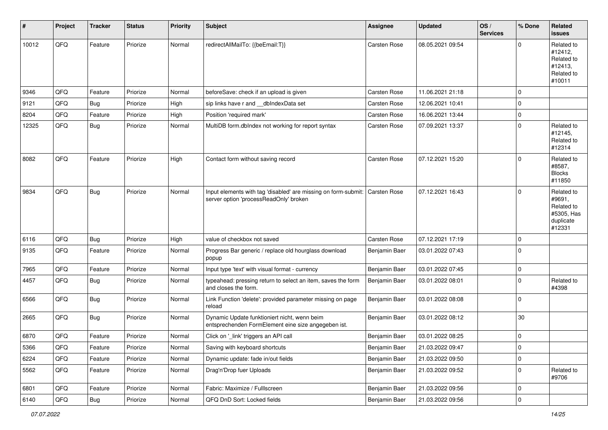| #     | Project | <b>Tracker</b> | <b>Status</b> | <b>Priority</b> | <b>Subject</b>                                                                                           | Assignee            | <b>Updated</b>   | OS/<br><b>Services</b> | % Done         | Related<br><b>issues</b>                                                |
|-------|---------|----------------|---------------|-----------------|----------------------------------------------------------------------------------------------------------|---------------------|------------------|------------------------|----------------|-------------------------------------------------------------------------|
| 10012 | QFQ     | Feature        | Priorize      | Normal          | redirectAllMailTo: {{beEmail:T}}                                                                         | Carsten Rose        | 08.05.2021 09:54 |                        | $\Omega$       | Related to<br>#12412,<br>Related to<br>#12413.<br>Related to<br>#10011  |
| 9346  | QFQ     | Feature        | Priorize      | Normal          | beforeSave: check if an upload is given                                                                  | <b>Carsten Rose</b> | 11.06.2021 21:18 |                        | $\mathbf 0$    |                                                                         |
| 9121  | QFQ     | Bug            | Priorize      | High            | sip links have r and __dbIndexData set                                                                   | Carsten Rose        | 12.06.2021 10:41 |                        | $\Omega$       |                                                                         |
| 8204  | QFQ     | Feature        | Priorize      | High            | Position 'required mark'                                                                                 | Carsten Rose        | 16.06.2021 13:44 |                        | $\mathbf 0$    |                                                                         |
| 12325 | QFQ     | <b>Bug</b>     | Priorize      | Normal          | MultiDB form.dblndex not working for report syntax                                                       | Carsten Rose        | 07.09.2021 13:37 |                        | $\mathbf 0$    | Related to<br>#12145,<br>Related to<br>#12314                           |
| 8082  | QFQ     | Feature        | Priorize      | High            | Contact form without saving record                                                                       | Carsten Rose        | 07.12.2021 15:20 |                        | $\Omega$       | Related to<br>#8587,<br><b>Blocks</b><br>#11850                         |
| 9834  | QFQ     | Bug            | Priorize      | Normal          | Input elements with tag 'disabled' are missing on form-submit:<br>server option 'processReadOnly' broken | <b>Carsten Rose</b> | 07.12.2021 16:43 |                        | $\mathbf 0$    | Related to<br>#9691,<br>Related to<br>#5305, Has<br>duplicate<br>#12331 |
| 6116  | QFQ     | Bug            | Priorize      | High            | value of checkbox not saved                                                                              | Carsten Rose        | 07.12.2021 17:19 |                        | $\mathbf 0$    |                                                                         |
| 9135  | QFQ     | Feature        | Priorize      | Normal          | Progress Bar generic / replace old hourglass download<br>popup                                           | Benjamin Baer       | 03.01.2022 07:43 |                        | $\mathbf 0$    |                                                                         |
| 7965  | QFQ     | Feature        | Priorize      | Normal          | Input type 'text' with visual format - currency                                                          | Benjamin Baer       | 03.01.2022 07:45 |                        | $\mathbf 0$    |                                                                         |
| 4457  | QFQ     | Bug            | Priorize      | Normal          | typeahead: pressing return to select an item, saves the form<br>and closes the form.                     | Benjamin Baer       | 03.01.2022 08:01 |                        | $\mathbf 0$    | Related to<br>#4398                                                     |
| 6566  | QFQ     | Bug            | Priorize      | Normal          | Link Function 'delete': provided parameter missing on page<br>reload                                     | Benjamin Baer       | 03.01.2022 08:08 |                        | $\mathbf 0$    |                                                                         |
| 2665  | QFQ     | <b>Bug</b>     | Priorize      | Normal          | Dynamic Update funktioniert nicht, wenn beim<br>entsprechenden FormElement eine size angegeben ist.      | Benjamin Baer       | 03.01.2022 08:12 |                        | 30             |                                                                         |
| 6870  | QFQ     | Feature        | Priorize      | Normal          | Click on '_link' triggers an API call                                                                    | Benjamin Baer       | 03.01.2022 08:25 |                        | $\mathbf 0$    |                                                                         |
| 5366  | QFQ     | Feature        | Priorize      | Normal          | Saving with keyboard shortcuts                                                                           | Benjamin Baer       | 21.03.2022 09:47 |                        | $\overline{0}$ |                                                                         |
| 6224  | QFQ     | Feature        | Priorize      | Normal          | Dynamic update: fade in/out fields                                                                       | Benjamin Baer       | 21.03.2022 09:50 |                        | $\pmb{0}$      |                                                                         |
| 5562  | QFQ     | Feature        | Priorize      | Normal          | Drag'n'Drop fuer Uploads                                                                                 | Benjamin Baer       | 21.03.2022 09:52 |                        | $\mathbf 0$    | Related to<br>#9706                                                     |
| 6801  | QFQ     | Feature        | Priorize      | Normal          | Fabric: Maximize / FullIscreen                                                                           | Benjamin Baer       | 21.03.2022 09:56 |                        | 0              |                                                                         |
| 6140  | QFQ     | Bug            | Priorize      | Normal          | QFQ DnD Sort: Locked fields                                                                              | Benjamin Baer       | 21.03.2022 09:56 |                        | $\mathbf 0$    |                                                                         |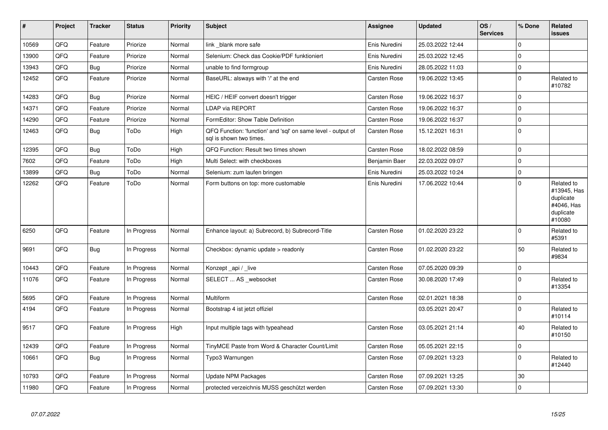| $\sharp$ | Project | <b>Tracker</b> | <b>Status</b> | <b>Priority</b> | <b>Subject</b>                                                                          | Assignee            | <b>Updated</b>   | OS/<br><b>Services</b> | % Done      | <b>Related</b><br><b>issues</b>                                             |
|----------|---------|----------------|---------------|-----------------|-----------------------------------------------------------------------------------------|---------------------|------------------|------------------------|-------------|-----------------------------------------------------------------------------|
| 10569    | QFQ     | Feature        | Priorize      | Normal          | link _blank more safe                                                                   | Enis Nuredini       | 25.03.2022 12:44 |                        | $\mathbf 0$ |                                                                             |
| 13900    | QFQ     | Feature        | Priorize      | Normal          | Selenium: Check das Cookie/PDF funktioniert                                             | Enis Nuredini       | 25.03.2022 12:45 |                        | $\mathbf 0$ |                                                                             |
| 13943    | QFQ     | Bug            | Priorize      | Normal          | unable to find formgroup                                                                | Enis Nuredini       | 28.05.2022 11:03 |                        | $\pmb{0}$   |                                                                             |
| 12452    | QFQ     | Feature        | Priorize      | Normal          | BaseURL: alsways with '/' at the end                                                    | Carsten Rose        | 19.06.2022 13:45 |                        | $\pmb{0}$   | Related to<br>#10782                                                        |
| 14283    | QFQ     | <b>Bug</b>     | Priorize      | Normal          | HEIC / HEIF convert doesn't trigger                                                     | Carsten Rose        | 19.06.2022 16:37 |                        | $\pmb{0}$   |                                                                             |
| 14371    | QFQ     | Feature        | Priorize      | Normal          | LDAP via REPORT                                                                         | <b>Carsten Rose</b> | 19.06.2022 16:37 |                        | $\mathbf 0$ |                                                                             |
| 14290    | QFQ     | Feature        | Priorize      | Normal          | FormEditor: Show Table Definition                                                       | Carsten Rose        | 19.06.2022 16:37 |                        | $\pmb{0}$   |                                                                             |
| 12463    | QFQ     | <b>Bug</b>     | ToDo          | High            | QFQ Function: 'function' and 'sql' on same level - output of<br>sql is shown two times. | Carsten Rose        | 15.12.2021 16:31 |                        | $\mathbf 0$ |                                                                             |
| 12395    | QFQ     | Bug            | ToDo          | High            | QFQ Function: Result two times shown                                                    | Carsten Rose        | 18.02.2022 08:59 |                        | $\mathbf 0$ |                                                                             |
| 7602     | QFQ     | Feature        | ToDo          | High            | Multi Select: with checkboxes                                                           | Benjamin Baer       | 22.03.2022 09:07 |                        | $\pmb{0}$   |                                                                             |
| 13899    | QFQ     | <b>Bug</b>     | ToDo          | Normal          | Selenium: zum laufen bringen                                                            | Enis Nuredini       | 25.03.2022 10:24 |                        | $\mathbf 0$ |                                                                             |
| 12262    | QFQ     | Feature        | ToDo          | Normal          | Form buttons on top: more customable                                                    | Enis Nuredini       | 17.06.2022 10:44 |                        | $\mathbf 0$ | Related to<br>#13945, Has<br>duplicate<br>#4046, Has<br>duplicate<br>#10080 |
| 6250     | QFQ     | Feature        | In Progress   | Normal          | Enhance layout: a) Subrecord, b) Subrecord-Title                                        | Carsten Rose        | 01.02.2020 23:22 |                        | $\mathbf 0$ | Related to<br>#5391                                                         |
| 9691     | QFQ     | Bug            | In Progress   | Normal          | Checkbox: dynamic update > readonly                                                     | Carsten Rose        | 01.02.2020 23:22 |                        | 50          | Related to<br>#9834                                                         |
| 10443    | QFQ     | Feature        | In Progress   | Normal          | Konzept api / live                                                                      | <b>Carsten Rose</b> | 07.05.2020 09:39 |                        | $\pmb{0}$   |                                                                             |
| 11076    | QFQ     | Feature        | In Progress   | Normal          | SELECT  AS _websocket                                                                   | Carsten Rose        | 30.08.2020 17:49 |                        | $\mathbf 0$ | Related to<br>#13354                                                        |
| 5695     | QFQ     | Feature        | In Progress   | Normal          | Multiform                                                                               | Carsten Rose        | 02.01.2021 18:38 |                        | $\pmb{0}$   |                                                                             |
| 4194     | QFQ     | Feature        | In Progress   | Normal          | Bootstrap 4 ist jetzt offiziel                                                          |                     | 03.05.2021 20:47 |                        | $\mathbf 0$ | Related to<br>#10114                                                        |
| 9517     | QFQ     | Feature        | In Progress   | High            | Input multiple tags with typeahead                                                      | Carsten Rose        | 03.05.2021 21:14 |                        | 40          | Related to<br>#10150                                                        |
| 12439    | QFQ     | Feature        | In Progress   | Normal          | TinyMCE Paste from Word & Character Count/Limit                                         | Carsten Rose        | 05.05.2021 22:15 |                        | $\pmb{0}$   |                                                                             |
| 10661    | QFQ     | <b>Bug</b>     | In Progress   | Normal          | Typo3 Warnungen                                                                         | Carsten Rose        | 07.09.2021 13:23 |                        | $\mathbf 0$ | Related to<br>#12440                                                        |
| 10793    | QFQ     | Feature        | In Progress   | Normal          | Update NPM Packages                                                                     | Carsten Rose        | 07.09.2021 13:25 |                        | 30          |                                                                             |
| 11980    | QFQ     | Feature        | In Progress   | Normal          | protected verzeichnis MUSS geschützt werden                                             | <b>Carsten Rose</b> | 07.09.2021 13:30 |                        | $\pmb{0}$   |                                                                             |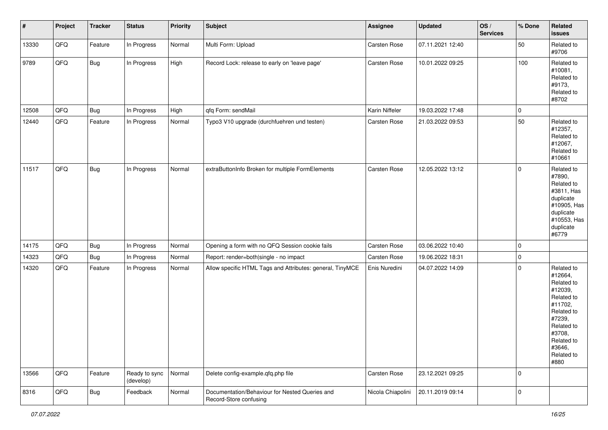| $\vert$ # | Project | <b>Tracker</b> | <b>Status</b>              | <b>Priority</b> | <b>Subject</b>                                                           | Assignee          | <b>Updated</b>   | OS/<br><b>Services</b> | % Done      | Related<br><b>issues</b>                                                                                                                                              |
|-----------|---------|----------------|----------------------------|-----------------|--------------------------------------------------------------------------|-------------------|------------------|------------------------|-------------|-----------------------------------------------------------------------------------------------------------------------------------------------------------------------|
| 13330     | QFQ     | Feature        | In Progress                | Normal          | Multi Form: Upload                                                       | Carsten Rose      | 07.11.2021 12:40 |                        | 50          | Related to<br>#9706                                                                                                                                                   |
| 9789      | QFQ     | Bug            | In Progress                | High            | Record Lock: release to early on 'leave page'                            | Carsten Rose      | 10.01.2022 09:25 |                        | 100         | Related to<br>#10081,<br>Related to<br>#9173,<br>Related to<br>#8702                                                                                                  |
| 12508     | QFQ     | Bug            | In Progress                | High            | qfq Form: sendMail                                                       | Karin Niffeler    | 19.03.2022 17:48 |                        | $\mathbf 0$ |                                                                                                                                                                       |
| 12440     | QFQ     | Feature        | In Progress                | Normal          | Typo3 V10 upgrade (durchfuehren und testen)                              | Carsten Rose      | 21.03.2022 09:53 |                        | 50          | Related to<br>#12357,<br>Related to<br>#12067,<br>Related to<br>#10661                                                                                                |
| 11517     | QFQ     | <b>Bug</b>     | In Progress                | Normal          | extraButtonInfo Broken for multiple FormElements                         | Carsten Rose      | 12.05.2022 13:12 |                        | $\mathbf 0$ | Related to<br>#7890,<br>Related to<br>#3811, Has<br>duplicate<br>#10905, Has<br>duplicate<br>#10553, Has<br>duplicate<br>#6779                                        |
| 14175     | QFQ     | Bug            | In Progress                | Normal          | Opening a form with no QFQ Session cookie fails                          | Carsten Rose      | 03.06.2022 10:40 |                        | $\mathbf 0$ |                                                                                                                                                                       |
| 14323     | QFQ     | <b>Bug</b>     | In Progress                | Normal          | Report: render=both single - no impact                                   | Carsten Rose      | 19.06.2022 18:31 |                        | $\mathbf 0$ |                                                                                                                                                                       |
| 14320     | QFQ     | Feature        | In Progress                | Normal          | Allow specific HTML Tags and Attributes: general, TinyMCE                | Enis Nuredini     | 04.07.2022 14:09 |                        | $\mathbf 0$ | Related to<br>#12664,<br>Related to<br>#12039,<br>Related to<br>#11702,<br>Related to<br>#7239,<br>Related to<br>#3708,<br>Related to<br>#3646,<br>Related to<br>#880 |
| 13566     | QFQ     | Feature        | Ready to sync<br>(develop) | Normal          | Delete config-example.qfq.php file                                       | Carsten Rose      | 23.12.2021 09:25 |                        | $\mathbf 0$ |                                                                                                                                                                       |
| 8316      | QFG     | <b>Bug</b>     | Feedback                   | Normal          | Documentation/Behaviour for Nested Queries and<br>Record-Store confusing | Nicola Chiapolini | 20.11.2019 09:14 |                        | $\mathbf 0$ |                                                                                                                                                                       |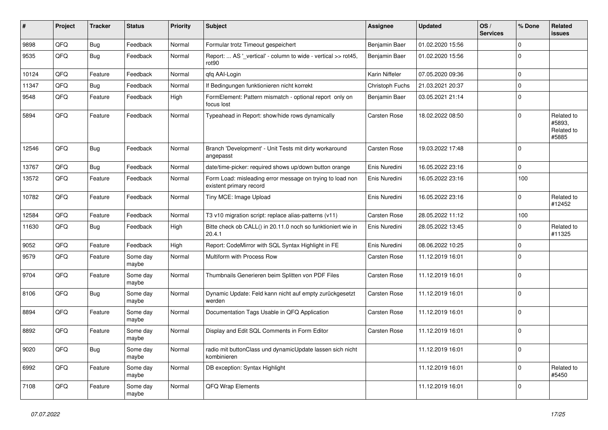| ∦     | Project | <b>Tracker</b> | <b>Status</b>     | <b>Priority</b> | <b>Subject</b>                                                                       | <b>Assignee</b> | <b>Updated</b>   | OS/<br><b>Services</b> | % Done       | Related<br><b>issues</b>                    |
|-------|---------|----------------|-------------------|-----------------|--------------------------------------------------------------------------------------|-----------------|------------------|------------------------|--------------|---------------------------------------------|
| 9898  | QFQ     | Bug            | Feedback          | Normal          | Formular trotz Timeout gespeichert                                                   | Benjamin Baer   | 01.02.2020 15:56 |                        | $\mathbf 0$  |                                             |
| 9535  | QFQ     | Bug            | Feedback          | Normal          | Report:  AS '_vertical' - column to wide - vertical >> rot45,<br>rot90               | Benjamin Baer   | 01.02.2020 15:56 |                        | $\Omega$     |                                             |
| 10124 | QFQ     | Feature        | Feedback          | Normal          | qfq AAI-Login                                                                        | Karin Niffeler  | 07.05.2020 09:36 |                        | $\mathbf 0$  |                                             |
| 11347 | QFQ     | Bug            | Feedback          | Normal          | If Bedingungen funktionieren nicht korrekt                                           | Christoph Fuchs | 21.03.2021 20:37 |                        | $\mathbf 0$  |                                             |
| 9548  | QFQ     | Feature        | Feedback          | High            | FormElement: Pattern mismatch - optional report only on<br>focus lost                | Benjamin Baer   | 03.05.2021 21:14 |                        | $\mathbf 0$  |                                             |
| 5894  | QFQ     | Feature        | Feedback          | Normal          | Typeahead in Report: show/hide rows dynamically                                      | Carsten Rose    | 18.02.2022 08:50 |                        | $\Omega$     | Related to<br>#5893,<br>Related to<br>#5885 |
| 12546 | QFQ     | <b>Bug</b>     | Feedback          | Normal          | Branch 'Development' - Unit Tests mit dirty workaround<br>angepasst                  | Carsten Rose    | 19.03.2022 17:48 |                        | $\mathbf 0$  |                                             |
| 13767 | QFQ     | Bug            | Feedback          | Normal          | date/time-picker: required shows up/down button orange                               | Enis Nuredini   | 16.05.2022 23:16 |                        | $\mathbf{0}$ |                                             |
| 13572 | QFQ     | Feature        | Feedback          | Normal          | Form Load: misleading error message on trying to load non<br>existent primary record | Enis Nuredini   | 16.05.2022 23:16 |                        | 100          |                                             |
| 10782 | QFQ     | Feature        | Feedback          | Normal          | Tiny MCE: Image Upload                                                               | Enis Nuredini   | 16.05.2022 23:16 |                        | $\Omega$     | Related to<br>#12452                        |
| 12584 | QFQ     | Feature        | Feedback          | Normal          | T3 v10 migration script: replace alias-patterns (v11)                                | Carsten Rose    | 28.05.2022 11:12 |                        | 100          |                                             |
| 11630 | QFQ     | <b>Bug</b>     | Feedback          | High            | Bitte check ob CALL() in 20.11.0 noch so funktioniert wie in<br>20.4.1               | Enis Nuredini   | 28.05.2022 13:45 |                        | $\mathbf{0}$ | Related to<br>#11325                        |
| 9052  | QFQ     | Feature        | Feedback          | High            | Report: CodeMirror with SQL Syntax Highlight in FE                                   | Enis Nuredini   | 08.06.2022 10:25 |                        | $\mathbf 0$  |                                             |
| 9579  | QFQ     | Feature        | Some day<br>maybe | Normal          | Multiform with Process Row                                                           | Carsten Rose    | 11.12.2019 16:01 |                        | $\Omega$     |                                             |
| 9704  | QFQ     | Feature        | Some day<br>maybe | Normal          | Thumbnails Generieren beim Splitten von PDF Files                                    | Carsten Rose    | 11.12.2019 16:01 |                        | $\mathbf 0$  |                                             |
| 8106  | QFQ     | Bug            | Some day<br>maybe | Normal          | Dynamic Update: Feld kann nicht auf empty zurückgesetzt<br>werden                    | Carsten Rose    | 11.12.2019 16:01 |                        | $\Omega$     |                                             |
| 8894  | QFQ     | Feature        | Some day<br>maybe | Normal          | Documentation Tags Usable in QFQ Application                                         | Carsten Rose    | 11.12.2019 16:01 |                        | $\mathbf{0}$ |                                             |
| 8892  | QFQ     | Feature        | Some day<br>maybe | Normal          | Display and Edit SQL Comments in Form Editor                                         | Carsten Rose    | 11.12.2019 16:01 |                        | $\mathbf 0$  |                                             |
| 9020  | QFQ     | Bug            | Some day<br>maybe | Normal          | radio mit buttonClass und dynamicUpdate lassen sich nicht<br>kombinieren             |                 | 11.12.2019 16:01 |                        | $\Omega$     |                                             |
| 6992  | QFQ     | Feature        | Some day<br>maybe | Normal          | DB exception: Syntax Highlight                                                       |                 | 11.12.2019 16:01 |                        | $\mathbf 0$  | Related to<br>#5450                         |
| 7108  | QFQ     | Feature        | Some day<br>maybe | Normal          | QFQ Wrap Elements                                                                    |                 | 11.12.2019 16:01 |                        | $\mathbf{0}$ |                                             |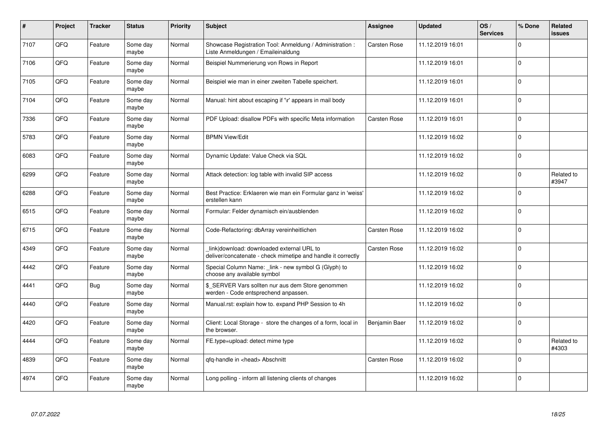| #    | Project | <b>Tracker</b> | <b>Status</b>     | <b>Priority</b> | <b>Subject</b>                                                                                            | Assignee            | <b>Updated</b>   | OS/<br><b>Services</b> | % Done   | Related<br><b>issues</b> |
|------|---------|----------------|-------------------|-----------------|-----------------------------------------------------------------------------------------------------------|---------------------|------------------|------------------------|----------|--------------------------|
| 7107 | QFQ     | Feature        | Some day<br>maybe | Normal          | Showcase Registration Tool: Anmeldung / Administration :<br>Liste Anmeldungen / Emaileinaldung            | Carsten Rose        | 11.12.2019 16:01 |                        | $\Omega$ |                          |
| 7106 | QFQ     | Feature        | Some dav<br>maybe | Normal          | Beispiel Nummerierung von Rows in Report                                                                  |                     | 11.12.2019 16:01 |                        | $\Omega$ |                          |
| 7105 | QFQ     | Feature        | Some day<br>maybe | Normal          | Beispiel wie man in einer zweiten Tabelle speichert.                                                      |                     | 11.12.2019 16:01 |                        | $\Omega$ |                          |
| 7104 | QFQ     | Feature        | Some day<br>maybe | Normal          | Manual: hint about escaping if '\r' appears in mail body                                                  |                     | 11.12.2019 16:01 |                        | $\Omega$ |                          |
| 7336 | QFQ     | Feature        | Some day<br>maybe | Normal          | PDF Upload: disallow PDFs with specific Meta information                                                  | <b>Carsten Rose</b> | 11.12.2019 16:01 |                        | $\Omega$ |                          |
| 5783 | QFQ     | Feature        | Some dav<br>maybe | Normal          | <b>BPMN View/Edit</b>                                                                                     |                     | 11.12.2019 16:02 |                        | $\Omega$ |                          |
| 6083 | QFQ     | Feature        | Some day<br>maybe | Normal          | Dynamic Update: Value Check via SQL                                                                       |                     | 11.12.2019 16:02 |                        | $\Omega$ |                          |
| 6299 | QFQ     | Feature        | Some day<br>maybe | Normal          | Attack detection: log table with invalid SIP access                                                       |                     | 11.12.2019 16:02 |                        | $\Omega$ | Related to<br>#3947      |
| 6288 | QFQ     | Feature        | Some day<br>maybe | Normal          | Best Practice: Erklaeren wie man ein Formular ganz in 'weiss'<br>erstellen kann                           |                     | 11.12.2019 16:02 |                        | $\Omega$ |                          |
| 6515 | QFQ     | Feature        | Some day<br>maybe | Normal          | Formular: Felder dynamisch ein/ausblenden                                                                 |                     | 11.12.2019 16:02 |                        | $\Omega$ |                          |
| 6715 | QFQ     | Feature        | Some dav<br>maybe | Normal          | Code-Refactoring: dbArray vereinheitlichen                                                                | Carsten Rose        | 11.12.2019 16:02 |                        | $\Omega$ |                          |
| 4349 | QFQ     | Feature        | Some day<br>maybe | Normal          | link download: downloaded external URL to<br>deliver/concatenate - check mimetipe and handle it correctly | <b>Carsten Rose</b> | 11.12.2019 16:02 |                        | $\Omega$ |                          |
| 4442 | QFQ     | Feature        | Some day<br>maybe | Normal          | Special Column Name: _link - new symbol G (Glyph) to<br>choose any available symbol                       |                     | 11.12.2019 16:02 |                        | $\Omega$ |                          |
| 4441 | QFQ     | Bug            | Some day<br>maybe | Normal          | \$ SERVER Vars sollten nur aus dem Store genommen<br>werden - Code entsprechend anpassen.                 |                     | 11.12.2019 16:02 |                        | $\Omega$ |                          |
| 4440 | QFQ     | Feature        | Some day<br>maybe | Normal          | Manual.rst: explain how to. expand PHP Session to 4h                                                      |                     | 11.12.2019 16:02 |                        | $\Omega$ |                          |
| 4420 | QFQ     | Feature        | Some day<br>maybe | Normal          | Client: Local Storage - store the changes of a form, local in<br>the browser.                             | Benjamin Baer       | 11.12.2019 16:02 |                        | $\Omega$ |                          |
| 4444 | QFQ     | Feature        | Some day<br>maybe | Normal          | FE.type=upload: detect mime type                                                                          |                     | 11.12.2019 16:02 |                        | $\Omega$ | Related to<br>#4303      |
| 4839 | QFQ     | Feature        | Some day<br>maybe | Normal          | qfq-handle in <head> Abschnitt</head>                                                                     | Carsten Rose        | 11.12.2019 16:02 |                        | $\Omega$ |                          |
| 4974 | QFQ     | Feature        | Some day<br>maybe | Normal          | Long polling - inform all listening clients of changes                                                    |                     | 11.12.2019 16:02 |                        | $\Omega$ |                          |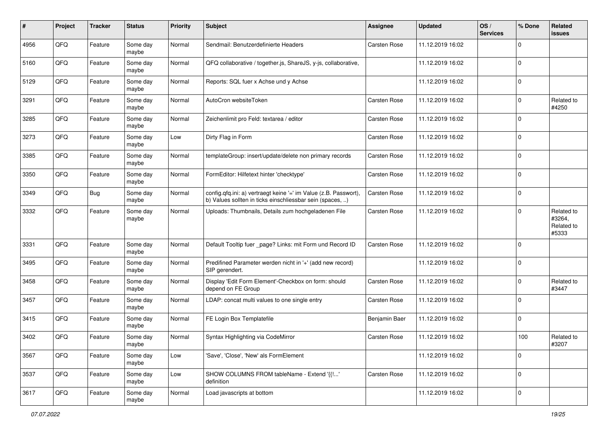| #    | Project | <b>Tracker</b> | <b>Status</b>     | <b>Priority</b> | <b>Subject</b>                                                                                                                | <b>Assignee</b>     | <b>Updated</b>   | OS/<br><b>Services</b> | % Done         | Related<br><b>issues</b>                    |
|------|---------|----------------|-------------------|-----------------|-------------------------------------------------------------------------------------------------------------------------------|---------------------|------------------|------------------------|----------------|---------------------------------------------|
| 4956 | QFQ     | Feature        | Some day<br>maybe | Normal          | Sendmail: Benutzerdefinierte Headers                                                                                          | Carsten Rose        | 11.12.2019 16:02 |                        | $\mathbf 0$    |                                             |
| 5160 | QFQ     | Feature        | Some day<br>maybe | Normal          | QFQ collaborative / together.js, ShareJS, y-js, collaborative,                                                                |                     | 11.12.2019 16:02 |                        | $\mathbf 0$    |                                             |
| 5129 | QFQ     | Feature        | Some day<br>maybe | Normal          | Reports: SQL fuer x Achse und y Achse                                                                                         |                     | 11.12.2019 16:02 |                        | $\Omega$       |                                             |
| 3291 | QFQ     | Feature        | Some day<br>maybe | Normal          | AutoCron websiteToken                                                                                                         | Carsten Rose        | 11.12.2019 16:02 |                        | $\mathbf 0$    | Related to<br>#4250                         |
| 3285 | QFQ     | Feature        | Some day<br>maybe | Normal          | Zeichenlimit pro Feld: textarea / editor                                                                                      | Carsten Rose        | 11.12.2019 16:02 |                        | $\Omega$       |                                             |
| 3273 | QFQ     | Feature        | Some day<br>maybe | Low             | Dirty Flag in Form                                                                                                            | Carsten Rose        | 11.12.2019 16:02 |                        | $\mathbf 0$    |                                             |
| 3385 | QFQ     | Feature        | Some day<br>maybe | Normal          | templateGroup: insert/update/delete non primary records                                                                       | Carsten Rose        | 11.12.2019 16:02 |                        | $\mathbf 0$    |                                             |
| 3350 | QFQ     | Feature        | Some day<br>maybe | Normal          | FormEditor: Hilfetext hinter 'checktype'                                                                                      | Carsten Rose        | 11.12.2019 16:02 |                        | $\mathbf 0$    |                                             |
| 3349 | QFQ     | <b>Bug</b>     | Some day<br>maybe | Normal          | config.qfq.ini: a) vertraegt keine '=' im Value (z.B. Passwort),<br>b) Values sollten in ticks einschliessbar sein (spaces, ) | Carsten Rose        | 11.12.2019 16:02 |                        | $\overline{0}$ |                                             |
| 3332 | QFQ     | Feature        | Some day<br>maybe | Normal          | Uploads: Thumbnails, Details zum hochgeladenen File                                                                           | Carsten Rose        | 11.12.2019 16:02 |                        | $\Omega$       | Related to<br>#3264,<br>Related to<br>#5333 |
| 3331 | QFQ     | Feature        | Some day<br>maybe | Normal          | Default Tooltip fuer _page? Links: mit Form und Record ID                                                                     | <b>Carsten Rose</b> | 11.12.2019 16:02 |                        | $\overline{0}$ |                                             |
| 3495 | QFQ     | Feature        | Some day<br>maybe | Normal          | Predifined Parameter werden nicht in '+' (add new record)<br>SIP gerendert.                                                   |                     | 11.12.2019 16:02 |                        | $\mathbf 0$    |                                             |
| 3458 | QFQ     | Feature        | Some day<br>maybe | Normal          | Display 'Edit Form Element'-Checkbox on form: should<br>depend on FE Group                                                    | Carsten Rose        | 11.12.2019 16:02 |                        | $\mathbf 0$    | Related to<br>#3447                         |
| 3457 | QFQ     | Feature        | Some day<br>maybe | Normal          | LDAP: concat multi values to one single entry                                                                                 | Carsten Rose        | 11.12.2019 16:02 |                        | $\mathbf 0$    |                                             |
| 3415 | QFQ     | Feature        | Some day<br>maybe | Normal          | FE Login Box Templatefile                                                                                                     | Benjamin Baer       | 11.12.2019 16:02 |                        | $\mathbf 0$    |                                             |
| 3402 | QFQ     | Feature        | Some day<br>maybe | Normal          | Syntax Highlighting via CodeMirror                                                                                            | Carsten Rose        | 11.12.2019 16:02 |                        | 100            | Related to<br>#3207                         |
| 3567 | QFQ     | Feature        | Some day<br>maybe | Low             | 'Save', 'Close', 'New' als FormElement                                                                                        |                     | 11.12.2019 16:02 |                        | $\overline{0}$ |                                             |
| 3537 | QFQ     | Feature        | Some day<br>maybe | Low             | SHOW COLUMNS FROM tableName - Extend '{{!'<br>definition                                                                      | Carsten Rose        | 11.12.2019 16:02 |                        | $\overline{0}$ |                                             |
| 3617 | QFQ     | Feature        | Some day<br>maybe | Normal          | Load javascripts at bottom                                                                                                    |                     | 11.12.2019 16:02 |                        | $\overline{0}$ |                                             |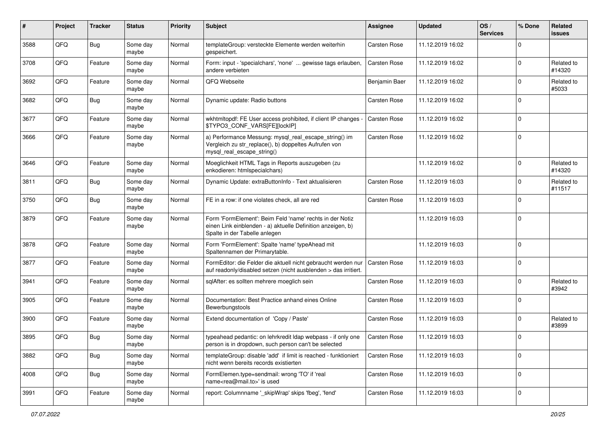| #    | Project | <b>Tracker</b> | <b>Status</b>     | <b>Priority</b> | <b>Subject</b>                                                                                                                                           | Assignee            | <b>Updated</b>   | OS/<br><b>Services</b> | % Done       | Related<br>issues    |
|------|---------|----------------|-------------------|-----------------|----------------------------------------------------------------------------------------------------------------------------------------------------------|---------------------|------------------|------------------------|--------------|----------------------|
| 3588 | QFQ     | <b>Bug</b>     | Some day<br>maybe | Normal          | templateGroup: versteckte Elemente werden weiterhin<br>gespeichert.                                                                                      | Carsten Rose        | 11.12.2019 16:02 |                        | <sup>0</sup> |                      |
| 3708 | QFQ     | Feature        | Some day<br>maybe | Normal          | Form: input - 'specialchars', 'none'  gewisse tags erlauben,<br>andere verbieten                                                                         | Carsten Rose        | 11.12.2019 16:02 |                        | $\Omega$     | Related to<br>#14320 |
| 3692 | QFQ     | Feature        | Some day<br>maybe | Normal          | QFQ Webseite                                                                                                                                             | Benjamin Baer       | 11.12.2019 16:02 |                        | <sup>0</sup> | Related to<br>#5033  |
| 3682 | QFQ     | <b>Bug</b>     | Some day<br>maybe | Normal          | Dynamic update: Radio buttons                                                                                                                            | Carsten Rose        | 11.12.2019 16:02 |                        | 0            |                      |
| 3677 | QFQ     | Feature        | Some day<br>maybe | Normal          | wkhtmltopdf: FE User access prohibited, if client IP changes -<br>\$TYPO3 CONF VARS[FE][lockIP]                                                          | Carsten Rose        | 11.12.2019 16:02 |                        | 0            |                      |
| 3666 | QFQ     | Feature        | Some day<br>maybe | Normal          | a) Performance Messung: mysql_real_escape_string() im<br>Vergleich zu str_replace(), b) doppeltes Aufrufen von<br>mysql_real_escape_string()             | Carsten Rose        | 11.12.2019 16:02 |                        | $\Omega$     |                      |
| 3646 | QFQ     | Feature        | Some day<br>maybe | Normal          | Moeglichkeit HTML Tags in Reports auszugeben (zu<br>enkodieren: htmlspecialchars)                                                                        |                     | 11.12.2019 16:02 |                        | $\Omega$     | Related to<br>#14320 |
| 3811 | QFQ     | <b>Bug</b>     | Some day<br>maybe | Normal          | Dynamic Update: extraButtonInfo - Text aktualisieren                                                                                                     | Carsten Rose        | 11.12.2019 16:03 |                        | <sup>0</sup> | Related to<br>#11517 |
| 3750 | QFQ     | Bug            | Some day<br>maybe | Normal          | FE in a row: if one violates check, all are red                                                                                                          | Carsten Rose        | 11.12.2019 16:03 |                        | $\Omega$     |                      |
| 3879 | QFQ     | Feature        | Some day<br>maybe | Normal          | Form 'FormElement': Beim Feld 'name' rechts in der Notiz<br>einen Link einblenden - a) aktuelle Definition anzeigen, b)<br>Spalte in der Tabelle anlegen |                     | 11.12.2019 16:03 |                        | 0            |                      |
| 3878 | QFQ     | Feature        | Some day<br>maybe | Normal          | Form 'FormElement': Spalte 'name' typeAhead mit<br>Spaltennamen der Primarytable.                                                                        |                     | 11.12.2019 16:03 |                        | 0            |                      |
| 3877 | QFQ     | Feature        | Some day<br>maybe | Normal          | FormEditor: die Felder die aktuell nicht gebraucht werden nur<br>auf readonly/disabled setzen (nicht ausblenden > das irritiert.                         | Carsten Rose        | 11.12.2019 16:03 |                        | $\Omega$     |                      |
| 3941 | QFQ     | Feature        | Some day<br>maybe | Normal          | sqlAfter: es sollten mehrere moeglich sein                                                                                                               | Carsten Rose        | 11.12.2019 16:03 |                        | 0            | Related to<br>#3942  |
| 3905 | QFQ     | Feature        | Some day<br>maybe | Normal          | Documentation: Best Practice anhand eines Online<br>Bewerbungstools                                                                                      | Carsten Rose        | 11.12.2019 16:03 |                        | $\Omega$     |                      |
| 3900 | QFQ     | Feature        | Some day<br>maybe | Normal          | Extend documentation of 'Copy / Paste'                                                                                                                   | Carsten Rose        | 11.12.2019 16:03 |                        | $\Omega$     | Related to<br>#3899  |
| 3895 | QFQ     | <b>Bug</b>     | Some day<br>maybe | Normal          | typeahead pedantic: on lehrkredit Idap webpass - if only one<br>person is in dropdown, such person can't be selected                                     | <b>Carsten Rose</b> | 11.12.2019 16:03 |                        | <sup>0</sup> |                      |
| 3882 | QFQ     | <b>Bug</b>     | Some day<br>maybe | Normal          | templateGroup: disable 'add' if limit is reached - funktioniert<br>nicht wenn bereits records existierten                                                | Carsten Rose        | 11.12.2019 16:03 |                        | $\mathbf 0$  |                      |
| 4008 | QFQ     | <b>Bug</b>     | Some day<br>maybe | Normal          | FormElemen.type=sendmail: wrong 'TO' if 'real<br>name <rea@mail.to>' is used</rea@mail.to>                                                               | Carsten Rose        | 11.12.2019 16:03 |                        | $\mathbf 0$  |                      |
| 3991 | QFG     | Feature        | Some day<br>maybe | Normal          | report: Columnname '_skipWrap' skips 'fbeg', 'fend'                                                                                                      | Carsten Rose        | 11.12.2019 16:03 |                        | 0            |                      |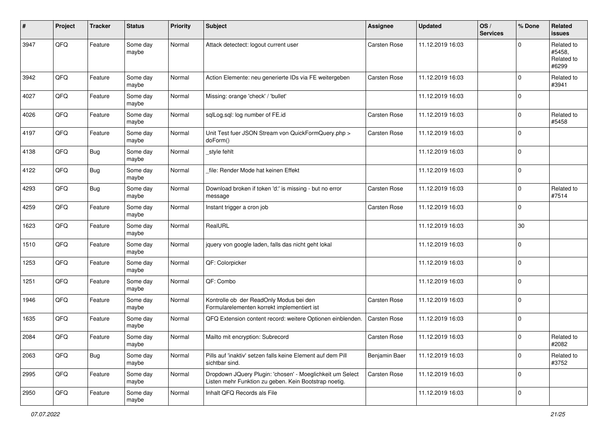| #    | Project | <b>Tracker</b> | <b>Status</b>     | <b>Priority</b> | <b>Subject</b>                                                                                                     | <b>Assignee</b>     | <b>Updated</b>   | OS/<br><b>Services</b> | % Done         | Related<br><b>issues</b>                    |
|------|---------|----------------|-------------------|-----------------|--------------------------------------------------------------------------------------------------------------------|---------------------|------------------|------------------------|----------------|---------------------------------------------|
| 3947 | QFQ     | Feature        | Some day<br>maybe | Normal          | Attack detectect: logout current user                                                                              | <b>Carsten Rose</b> | 11.12.2019 16:03 |                        | $\Omega$       | Related to<br>#5458,<br>Related to<br>#6299 |
| 3942 | QFQ     | Feature        | Some day<br>maybe | Normal          | Action Elemente: neu generierte IDs via FE weitergeben                                                             | Carsten Rose        | 11.12.2019 16:03 |                        | $\Omega$       | Related to<br>#3941                         |
| 4027 | QFQ     | Feature        | Some day<br>maybe | Normal          | Missing: orange 'check' / 'bullet'                                                                                 |                     | 11.12.2019 16:03 |                        | $\mathbf 0$    |                                             |
| 4026 | QFQ     | Feature        | Some day<br>maybe | Normal          | sqlLog.sql: log number of FE.id                                                                                    | <b>Carsten Rose</b> | 11.12.2019 16:03 |                        | $\mathbf 0$    | Related to<br>#5458                         |
| 4197 | QFQ     | Feature        | Some day<br>maybe | Normal          | Unit Test fuer JSON Stream von QuickFormQuery.php ><br>doForm()                                                    | <b>Carsten Rose</b> | 11.12.2019 16:03 |                        | $\Omega$       |                                             |
| 4138 | QFQ     | Bug            | Some day<br>maybe | Normal          | style fehlt                                                                                                        |                     | 11.12.2019 16:03 |                        | $\overline{0}$ |                                             |
| 4122 | QFQ     | <b>Bug</b>     | Some day<br>maybe | Normal          | file: Render Mode hat keinen Effekt                                                                                |                     | 11.12.2019 16:03 |                        | $\mathbf 0$    |                                             |
| 4293 | QFQ     | <b>Bug</b>     | Some day<br>maybe | Normal          | Download broken if token 'd:' is missing - but no error<br>message                                                 | Carsten Rose        | 11.12.2019 16:03 |                        | $\mathbf 0$    | Related to<br>#7514                         |
| 4259 | QFQ     | Feature        | Some day<br>maybe | Normal          | Instant trigger a cron job                                                                                         | Carsten Rose        | 11.12.2019 16:03 |                        | $\Omega$       |                                             |
| 1623 | QFQ     | Feature        | Some day<br>maybe | Normal          | RealURL                                                                                                            |                     | 11.12.2019 16:03 |                        | 30             |                                             |
| 1510 | QFQ     | Feature        | Some day<br>maybe | Normal          | jquery von google laden, falls das nicht geht lokal                                                                |                     | 11.12.2019 16:03 |                        | $\mathbf 0$    |                                             |
| 1253 | QFQ     | Feature        | Some day<br>maybe | Normal          | QF: Colorpicker                                                                                                    |                     | 11.12.2019 16:03 |                        | $\mathbf 0$    |                                             |
| 1251 | QFQ     | Feature        | Some day<br>maybe | Normal          | QF: Combo                                                                                                          |                     | 11.12.2019 16:03 |                        | $\mathbf 0$    |                                             |
| 1946 | QFQ     | Feature        | Some day<br>maybe | Normal          | Kontrolle ob der ReadOnly Modus bei den<br>Formularelementen korrekt implementiert ist                             | <b>Carsten Rose</b> | 11.12.2019 16:03 |                        | $\mathbf 0$    |                                             |
| 1635 | QFQ     | Feature        | Some day<br>maybe | Normal          | QFQ Extension content record: weitere Optionen einblenden.                                                         | Carsten Rose        | 11.12.2019 16:03 |                        | $\mathbf 0$    |                                             |
| 2084 | QFQ     | Feature        | Some day<br>maybe | Normal          | Mailto mit encryption: Subrecord                                                                                   | Carsten Rose        | 11.12.2019 16:03 |                        | $\mathbf 0$    | Related to<br>#2082                         |
| 2063 | QFQ     | <b>Bug</b>     | Some day<br>maybe | Normal          | Pills auf 'inaktiv' setzen falls keine Element auf dem Pill<br>sichtbar sind.                                      | Benjamin Baer       | 11.12.2019 16:03 |                        | $\overline{0}$ | Related to<br>#3752                         |
| 2995 | QFQ     | Feature        | Some day<br>maybe | Normal          | Dropdown JQuery Plugin: 'chosen' - Moeglichkeit um Select<br>Listen mehr Funktion zu geben. Kein Bootstrap noetig. | Carsten Rose        | 11.12.2019 16:03 |                        | $\overline{0}$ |                                             |
| 2950 | QFQ     | Feature        | Some day<br>maybe | Normal          | Inhalt QFQ Records als File                                                                                        |                     | 11.12.2019 16:03 |                        | $\overline{0}$ |                                             |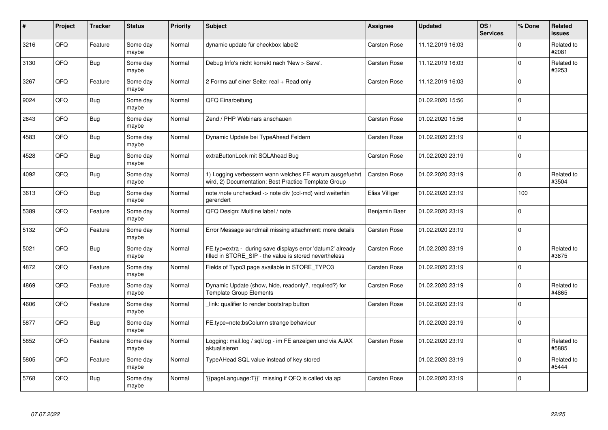| ∦    | Project | <b>Tracker</b> | <b>Status</b>     | <b>Priority</b> | <b>Subject</b>                                                                                                       | <b>Assignee</b>     | <b>Updated</b>   | OS/<br><b>Services</b> | % Done      | <b>Related</b><br><b>issues</b> |
|------|---------|----------------|-------------------|-----------------|----------------------------------------------------------------------------------------------------------------------|---------------------|------------------|------------------------|-------------|---------------------------------|
| 3216 | QFQ     | Feature        | Some day<br>maybe | Normal          | dynamic update für checkbox label2                                                                                   | <b>Carsten Rose</b> | 11.12.2019 16:03 |                        | $\Omega$    | Related to<br>#2081             |
| 3130 | QFQ     | Bug            | Some day<br>maybe | Normal          | Debug Info's nicht korrekt nach 'New > Save'.                                                                        | Carsten Rose        | 11.12.2019 16:03 |                        | $\Omega$    | Related to<br>#3253             |
| 3267 | QFQ     | Feature        | Some day<br>maybe | Normal          | 2 Forms auf einer Seite: real + Read only                                                                            | <b>Carsten Rose</b> | 11.12.2019 16:03 |                        | $\Omega$    |                                 |
| 9024 | QFQ     | <b>Bug</b>     | Some day<br>maybe | Normal          | QFQ Einarbeitung                                                                                                     |                     | 01.02.2020 15:56 |                        | $\Omega$    |                                 |
| 2643 | QFQ     | Bug            | Some day<br>maybe | Normal          | Zend / PHP Webinars anschauen                                                                                        | Carsten Rose        | 01.02.2020 15:56 |                        | $\mathbf 0$ |                                 |
| 4583 | QFQ     | Bug            | Some day<br>maybe | Normal          | Dynamic Update bei TypeAhead Feldern                                                                                 | Carsten Rose        | 01.02.2020 23:19 |                        | $\mathbf 0$ |                                 |
| 4528 | QFQ     | <b>Bug</b>     | Some day<br>maybe | Normal          | extraButtonLock mit SQLAhead Bug                                                                                     | Carsten Rose        | 01.02.2020 23:19 |                        | $\Omega$    |                                 |
| 4092 | QFQ     | <b>Bug</b>     | Some day<br>maybe | Normal          | 1) Logging verbessern wann welches FE warum ausgefuehrt<br>wird, 2) Documentation: Best Practice Template Group      | <b>Carsten Rose</b> | 01.02.2020 23:19 |                        | $\Omega$    | Related to<br>#3504             |
| 3613 | QFQ     | Bug            | Some day<br>maybe | Normal          | note /note unchecked -> note div (col-md) wird weiterhin<br>gerendert                                                | Elias Villiger      | 01.02.2020 23:19 |                        | 100         |                                 |
| 5389 | QFQ     | Feature        | Some day<br>maybe | Normal          | QFQ Design: Multline label / note                                                                                    | Benjamin Baer       | 01.02.2020 23:19 |                        | $\Omega$    |                                 |
| 5132 | QFQ     | Feature        | Some day<br>maybe | Normal          | Error Message sendmail missing attachment: more details                                                              | Carsten Rose        | 01.02.2020 23:19 |                        | $\Omega$    |                                 |
| 5021 | QFQ     | <b>Bug</b>     | Some day<br>maybe | Normal          | FE.typ=extra - during save displays error 'datum2' already<br>filled in STORE_SIP - the value is stored nevertheless | Carsten Rose        | 01.02.2020 23:19 |                        | $\Omega$    | Related to<br>#3875             |
| 4872 | QFQ     | Feature        | Some day<br>maybe | Normal          | Fields of Typo3 page available in STORE TYPO3                                                                        | Carsten Rose        | 01.02.2020 23:19 |                        | $\mathbf 0$ |                                 |
| 4869 | QFQ     | Feature        | Some day<br>maybe | Normal          | Dynamic Update (show, hide, readonly?, required?) for<br><b>Template Group Elements</b>                              | Carsten Rose        | 01.02.2020 23:19 |                        | $\Omega$    | Related to<br>#4865             |
| 4606 | QFQ     | Feature        | Some day<br>maybe | Normal          | link: qualifier to render bootstrap button                                                                           | Carsten Rose        | 01.02.2020 23:19 |                        | $\Omega$    |                                 |
| 5877 | QFQ     | Bug            | Some day<br>maybe | Normal          | FE.type=note:bsColumn strange behaviour                                                                              |                     | 01.02.2020 23:19 |                        | $\Omega$    |                                 |
| 5852 | QFQ     | Feature        | Some day<br>maybe | Normal          | Logging: mail.log / sql.log - im FE anzeigen und via AJAX<br>aktualisieren                                           | Carsten Rose        | 01.02.2020 23:19 |                        | $\mathbf 0$ | Related to<br>#5885             |
| 5805 | QFQ     | Feature        | Some day<br>maybe | Normal          | TypeAHead SQL value instead of key stored                                                                            |                     | 01.02.2020 23:19 |                        | $\Omega$    | Related to<br>#5444             |
| 5768 | QFQ     | <b>Bug</b>     | Some day<br>maybe | Normal          | {{pageLanguage:T}}' missing if QFQ is called via api                                                                 | Carsten Rose        | 01.02.2020 23:19 |                        | $\Omega$    |                                 |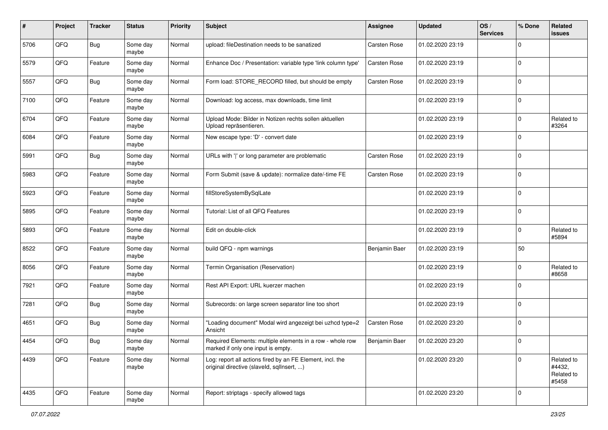| $\pmb{\#}$ | Project | <b>Tracker</b> | <b>Status</b>     | <b>Priority</b> | Subject                                                                                                | <b>Assignee</b> | <b>Updated</b>   | OS/<br><b>Services</b> | % Done         | Related<br><b>issues</b>                    |
|------------|---------|----------------|-------------------|-----------------|--------------------------------------------------------------------------------------------------------|-----------------|------------------|------------------------|----------------|---------------------------------------------|
| 5706       | QFQ     | <b>Bug</b>     | Some day<br>maybe | Normal          | upload: fileDestination needs to be sanatized                                                          | Carsten Rose    | 01.02.2020 23:19 |                        | 0              |                                             |
| 5579       | QFQ     | Feature        | Some day<br>maybe | Normal          | Enhance Doc / Presentation: variable type 'link column type'                                           | Carsten Rose    | 01.02.2020 23:19 |                        | $\mathbf 0$    |                                             |
| 5557       | QFQ     | <b>Bug</b>     | Some day<br>maybe | Normal          | Form load: STORE_RECORD filled, but should be empty                                                    | Carsten Rose    | 01.02.2020 23:19 |                        | 0              |                                             |
| 7100       | QFQ     | Feature        | Some day<br>maybe | Normal          | Download: log access, max downloads, time limit                                                        |                 | 01.02.2020 23:19 |                        | $\mathbf 0$    |                                             |
| 6704       | QFQ     | Feature        | Some day<br>maybe | Normal          | Upload Mode: Bilder in Notizen rechts sollen aktuellen<br>Upload repräsentieren.                       |                 | 01.02.2020 23:19 |                        | $\mathbf 0$    | Related to<br>#3264                         |
| 6084       | QFQ     | Feature        | Some day<br>maybe | Normal          | New escape type: 'D' - convert date                                                                    |                 | 01.02.2020 23:19 |                        | $\Omega$       |                                             |
| 5991       | QFQ     | Bug            | Some day<br>maybe | Normal          | URLs with ' ' or long parameter are problematic                                                        | Carsten Rose    | 01.02.2020 23:19 |                        | $\Omega$       |                                             |
| 5983       | QFQ     | Feature        | Some day<br>maybe | Normal          | Form Submit (save & update): normalize date/-time FE                                                   | Carsten Rose    | 01.02.2020 23:19 |                        | $\mathbf 0$    |                                             |
| 5923       | QFQ     | Feature        | Some day<br>maybe | Normal          | fillStoreSystemBySqlLate                                                                               |                 | 01.02.2020 23:19 |                        | 0              |                                             |
| 5895       | QFQ     | Feature        | Some day<br>maybe | Normal          | Tutorial: List of all QFQ Features                                                                     |                 | 01.02.2020 23:19 |                        | $\Omega$       |                                             |
| 5893       | QFQ     | Feature        | Some day<br>maybe | Normal          | Edit on double-click                                                                                   |                 | 01.02.2020 23:19 |                        | 0              | Related to<br>#5894                         |
| 8522       | QFQ     | Feature        | Some day<br>maybe | Normal          | build QFQ - npm warnings                                                                               | Benjamin Baer   | 01.02.2020 23:19 |                        | 50             |                                             |
| 8056       | QFQ     | Feature        | Some day<br>maybe | Normal          | Termin Organisation (Reservation)                                                                      |                 | 01.02.2020 23:19 |                        | $\Omega$       | Related to<br>#8658                         |
| 7921       | QFQ     | Feature        | Some day<br>maybe | Normal          | Rest API Export: URL kuerzer machen                                                                    |                 | 01.02.2020 23:19 |                        | 0              |                                             |
| 7281       | QFQ     | <b>Bug</b>     | Some day<br>maybe | Normal          | Subrecords: on large screen separator line too short                                                   |                 | 01.02.2020 23:19 |                        | $\mathbf 0$    |                                             |
| 4651       | QFQ     | Bug            | Some day<br>maybe | Normal          | "Loading document" Modal wird angezeigt bei uzhcd type=2<br>Ansicht                                    | Carsten Rose    | 01.02.2020 23:20 |                        | 0              |                                             |
| 4454       | QFQ     | <b>Bug</b>     | Some day<br>maybe | Normal          | Required Elements: multiple elements in a row - whole row<br>marked if only one input is empty.        | Benjamin Baer   | 01.02.2020 23:20 |                        | $\Omega$       |                                             |
| 4439       | QFQ     | Feature        | Some day<br>maybe | Normal          | Log: report all actions fired by an FE Element, incl. the<br>original directive (slaveld, sqllnsert, ) |                 | 01.02.2020 23:20 |                        | $\Omega$       | Related to<br>#4432,<br>Related to<br>#5458 |
| 4435       | QFQ     | Feature        | Some day<br>maybe | Normal          | Report: striptags - specify allowed tags                                                               |                 | 01.02.2020 23:20 |                        | $\overline{0}$ |                                             |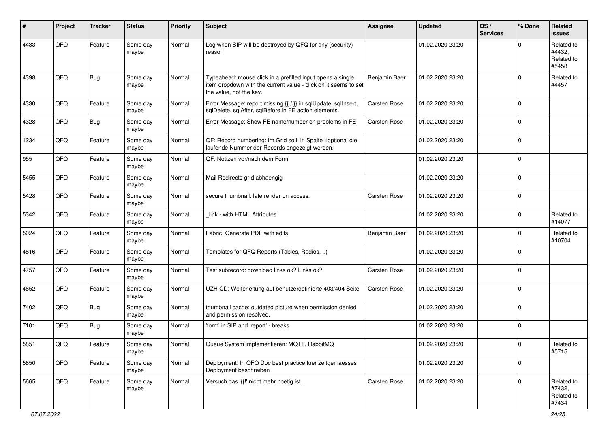| ∦    | Project        | <b>Tracker</b> | <b>Status</b>     | <b>Priority</b> | <b>Subject</b>                                                                                                                                           | <b>Assignee</b>     | <b>Updated</b>   | OS/<br><b>Services</b> | % Done      | Related<br><b>issues</b>                    |
|------|----------------|----------------|-------------------|-----------------|----------------------------------------------------------------------------------------------------------------------------------------------------------|---------------------|------------------|------------------------|-------------|---------------------------------------------|
| 4433 | QFQ            | Feature        | Some day<br>maybe | Normal          | Log when SIP will be destroyed by QFQ for any (security)<br>reason                                                                                       |                     | 01.02.2020 23:20 |                        | $\Omega$    | Related to<br>#4432.<br>Related to<br>#5458 |
| 4398 | QFQ            | <b>Bug</b>     | Some day<br>maybe | Normal          | Typeahead: mouse click in a prefilled input opens a single<br>item dropdown with the current value - click on it seems to set<br>the value, not the key. | Benjamin Baer       | 01.02.2020 23:20 |                        | $\Omega$    | Related to<br>#4457                         |
| 4330 | QFQ            | Feature        | Some day<br>maybe | Normal          | Error Message: report missing {{ / }} in sqlUpdate, sqlInsert,<br>sqlDelete, sqlAfter, sqlBefore in FE action elements.                                  | Carsten Rose        | 01.02.2020 23:20 |                        | $\Omega$    |                                             |
| 4328 | QFQ            | <b>Bug</b>     | Some day<br>maybe | Normal          | Error Message: Show FE name/number on problems in FE                                                                                                     | <b>Carsten Rose</b> | 01.02.2020 23:20 |                        | $\mathbf 0$ |                                             |
| 1234 | QFQ            | Feature        | Some day<br>maybe | Normal          | QF: Record numbering: Im Grid soll in Spalte 1 optional die<br>laufende Nummer der Records angezeigt werden.                                             |                     | 01.02.2020 23:20 |                        | $\mathbf 0$ |                                             |
| 955  | QFQ            | Feature        | Some day<br>maybe | Normal          | QF: Notizen vor/nach dem Form                                                                                                                            |                     | 01.02.2020 23:20 |                        | $\mathbf 0$ |                                             |
| 5455 | QFQ            | Feature        | Some day<br>maybe | Normal          | Mail Redirects grld abhaengig                                                                                                                            |                     | 01.02.2020 23:20 |                        | $\Omega$    |                                             |
| 5428 | QFQ            | Feature        | Some day<br>maybe | Normal          | secure thumbnail: late render on access.                                                                                                                 | <b>Carsten Rose</b> | 01.02.2020 23:20 |                        | $\mathbf 0$ |                                             |
| 5342 | QFQ            | Feature        | Some day<br>maybe | Normal          | link - with HTML Attributes                                                                                                                              |                     | 01.02.2020 23:20 |                        | $\Omega$    | Related to<br>#14077                        |
| 5024 | QFQ            | Feature        | Some day<br>maybe | Normal          | Fabric: Generate PDF with edits                                                                                                                          | Benjamin Baer       | 01.02.2020 23:20 |                        | $\Omega$    | Related to<br>#10704                        |
| 4816 | QFQ            | Feature        | Some day<br>maybe | Normal          | Templates for QFQ Reports (Tables, Radios, )                                                                                                             |                     | 01.02.2020 23:20 |                        | $\Omega$    |                                             |
| 4757 | QFQ            | Feature        | Some day<br>maybe | Normal          | Test subrecord: download links ok? Links ok?                                                                                                             | <b>Carsten Rose</b> | 01.02.2020 23:20 |                        | 0           |                                             |
| 4652 | QFQ            | Feature        | Some day<br>maybe | Normal          | UZH CD: Weiterleitung auf benutzerdefinierte 403/404 Seite                                                                                               | Carsten Rose        | 01.02.2020 23:20 |                        | $\mathbf 0$ |                                             |
| 7402 | QFQ            | <b>Bug</b>     | Some day<br>maybe | Normal          | thumbnail cache: outdated picture when permission denied<br>and permission resolved.                                                                     |                     | 01.02.2020 23:20 |                        | $\Omega$    |                                             |
| 7101 | QFQ            | <b>Bug</b>     | Some day<br>maybe | Normal          | 'form' in SIP and 'report' - breaks                                                                                                                      |                     | 01.02.2020 23:20 |                        | $\mathbf 0$ |                                             |
| 5851 | $\mathsf{QFQ}$ | Feature        | Some day<br>maybe | Normal          | Queue System implementieren: MQTT, RabbitMQ                                                                                                              |                     | 01.02.2020 23:20 |                        | $\mathsf 0$ | Related to<br>#5715                         |
| 5850 | QFQ            | Feature        | Some day<br>maybe | Normal          | Deployment: In QFQ Doc best practice fuer zeitgemaesses<br>Deployment beschreiben                                                                        |                     | 01.02.2020 23:20 |                        | $\mathbf 0$ |                                             |
| 5665 | QFQ            | Feature        | Some day<br>maybe | Normal          | Versuch das '{{!' nicht mehr noetig ist.                                                                                                                 | Carsten Rose        | 01.02.2020 23:20 |                        | $\mathbf 0$ | Related to<br>#7432,<br>Related to<br>#7434 |